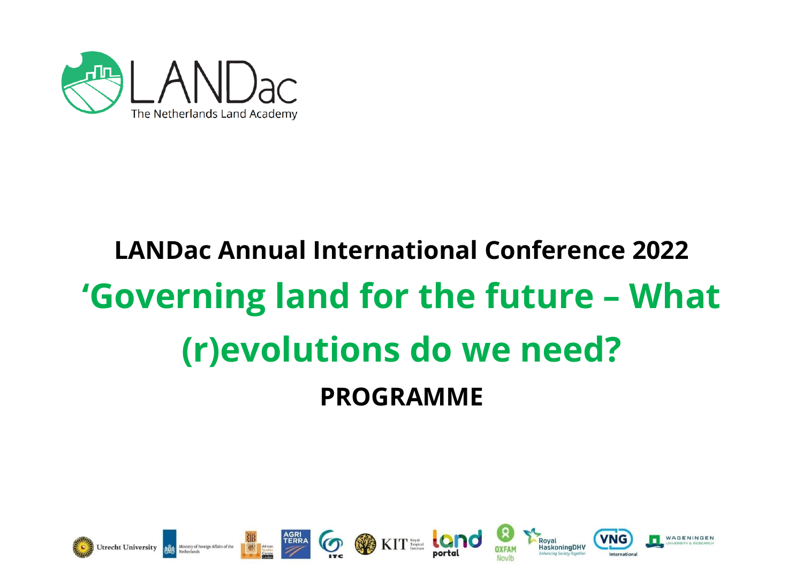

# **LANDac Annual International Conference 2022 'Governing land for the future – What (r)evolutions do we need? PROGRAMME**

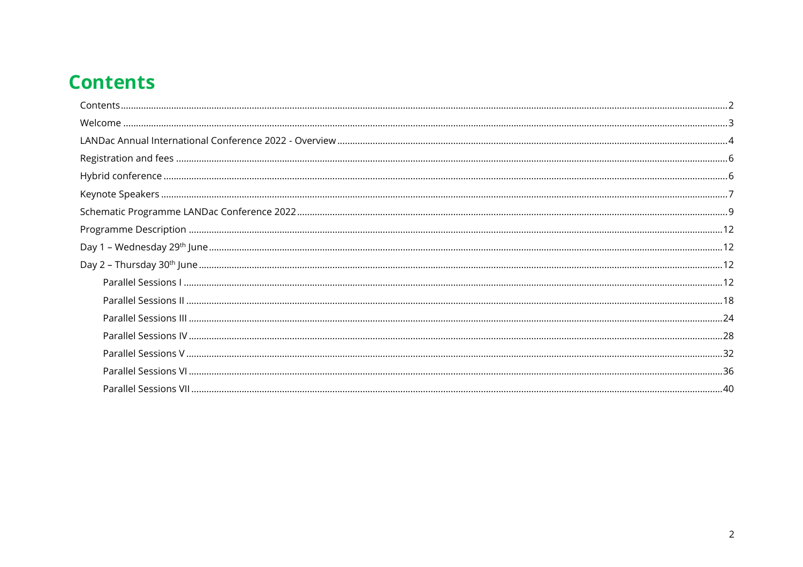# <span id="page-1-0"></span>**Contents**

| Day 1 |  |
|-------|--|
|       |  |
|       |  |
|       |  |
|       |  |
|       |  |
|       |  |
|       |  |
|       |  |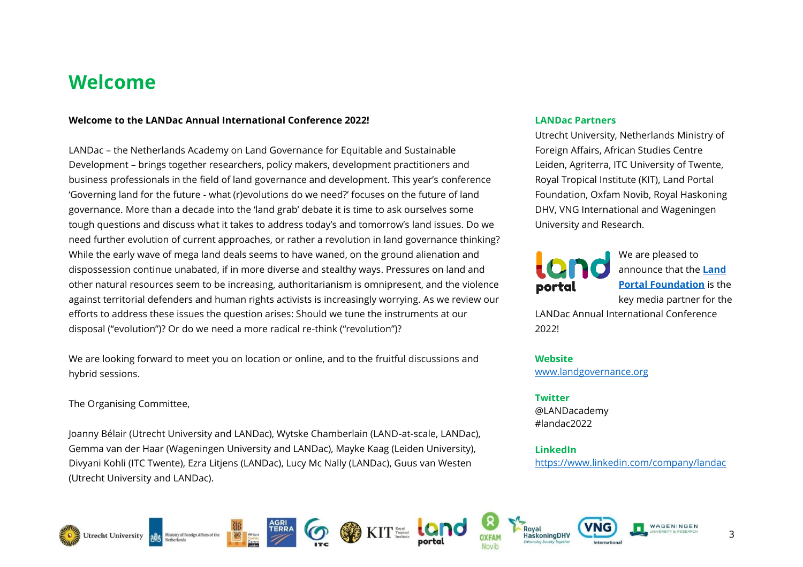# <span id="page-2-0"></span>**Welcome**

#### **Welcome to the LANDac Annual International Conference 2022!**

LANDac – the Netherlands Academy on Land Governance for Equitable and Sustainable Development – brings together researchers, policy makers, development practitioners and business professionals in the field of land governance and development. This year's conference 'Governing land for the future - what (r)evolutions do we need?' focuses on the future of land governance. More than a decade into the 'land grab' debate it is time to ask ourselves some tough questions and discuss what it takes to address today's and tomorrow's land issues. Do we need further evolution of current approaches, or rather a revolution in land governance thinking? While the early wave of mega land deals seems to have waned, on the ground alienation and dispossession continue unabated, if in more diverse and stealthy ways. Pressures on land and other natural resources seem to be increasing, authoritarianism is omnipresent, and the violence against territorial defenders and human rights activists is increasingly worrying. As we review our efforts to address these issues the question arises: Should we tune the instruments at our disposal ("evolution")? Or do we need a more radical re-think ("revolution")?

We are looking forward to meet you on location or online, and to the fruitful discussions and hybrid sessions.

The Organising Committee,

Joanny Bélair (Utrecht University and LANDac), Wytske Chamberlain (LAND-at-scale, LANDac), Gemma van der Haar (Wageningen University and LANDac), Mayke Kaag (Leiden University), Divyani Kohli (ITC Twente), Ezra Litjens (LANDac), Lucy Mc Nally (LANDac), Guus van Westen (Utrecht University and LANDac).

#### **LANDac Partners**

Utrecht University, Netherlands Ministry of Foreign Affairs, African Studies Centre Leiden, Agriterra, ITC University of Twente, Royal Tropical Institute (KIT), Land Portal Foundation, Oxfam Novib, Royal Haskoning DHV, VNG International and Wageningen University and Research.



We are pleased to announce that the **[Land](https://landportal.org/)  [Portal Foundation](https://landportal.org/)** is the key media partner for the

LANDac Annual International Conference 2022!

**Website** [www.landgovernance.org](http://www.landgovernance.org/)

**Twitter** @LANDacademy #landac2022

**LinkedIn** <https://www.linkedin.com/company/landac>













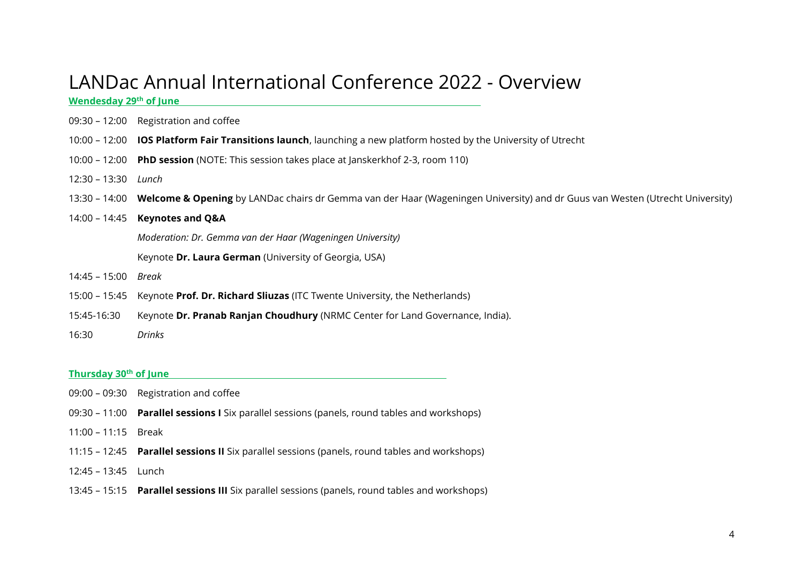# <span id="page-3-0"></span>LANDac Annual International Conference 2022 - Overview

**Wendesday 29th of June**

- 09:30 12:00 Registration and coffee
- 10:00 12:00 **IOS Platform Fair Transitions launch**, launching a new platform hosted by the University of Utrecht
- 10:00 12:00 **PhD session** (NOTE: This session takes place at Janskerkhof 2-3, room 110)
- 12:30 13:30 *Lunch*
- 13:30 14:00 **Welcome & Opening** by LANDac chairs dr Gemma van der Haar (Wageningen University) and dr Guus van Westen (Utrecht University)
- 14:00 14:45 **Keynotes and Q&A**

*Moderation: Dr. Gemma van der Haar (Wageningen University)* 

Keynote **Dr. Laura German** (University of Georgia, USA)

- 14:45 15:00 *Break*
- 15:00 15:45 Keynote **Prof. Dr. Richard Sliuzas** (ITC Twente University, the Netherlands)
- 15:45-16:30 Keynote **Dr. Pranab Ranjan Choudhury** (NRMC Center for Land Governance, India).
- 16:30 *Drinks*

#### **Thursday 30th of June**

- 09:00 09:30 Registration and coffee
- 09:30 11:00 **Parallel sessions I** Six parallel sessions (panels, round tables and workshops)
- 11:00 11:15 Break
- 11:15 12:45 **Parallel sessions II** Six parallel sessions (panels, round tables and workshops)
- 12:45 13:45 Lunch
- 13:45 15:15 **Parallel sessions III** Six parallel sessions (panels, round tables and workshops)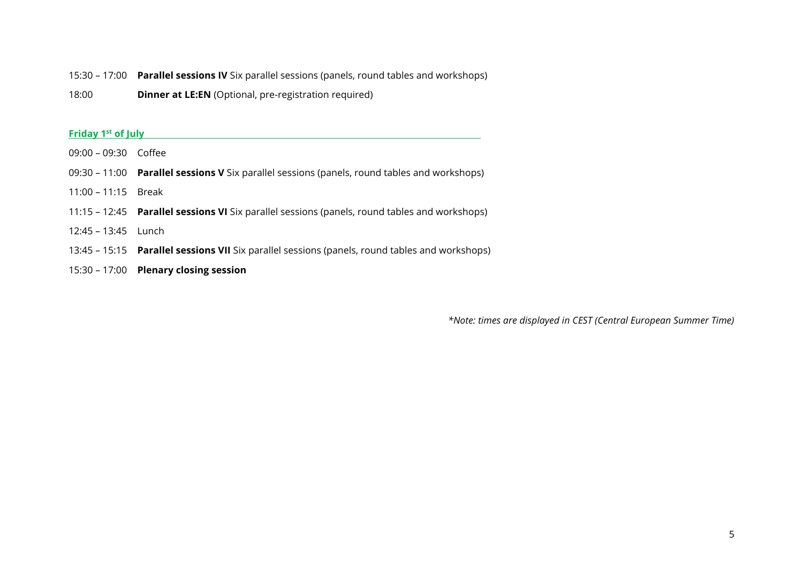- 15:30 17:00 **Parallel sessions IV** Six parallel sessions (panels, round tables and workshops)
- 18:00 **Dinner at LE:EN** (Optional, pre-registration required)

#### **Friday 1 st of July**

- 09:00 09:30 Coffee
- 09:30 11:00 **Parallel sessions V** Six parallel sessions (panels, round tables and workshops)
- 11:00 11:15 Break
- 11:15 12:45 **Parallel sessions VI** Six parallel sessions (panels, round tables and workshops)
- 12:45 13:45 Lunch
- 13:45 15:15 **Parallel sessions VII** Six parallel sessions (panels, round tables and workshops)
- 15:30 17:00 **Plenary closing session**

*\*Note: times are displayed in CEST (Central European Summer Time)*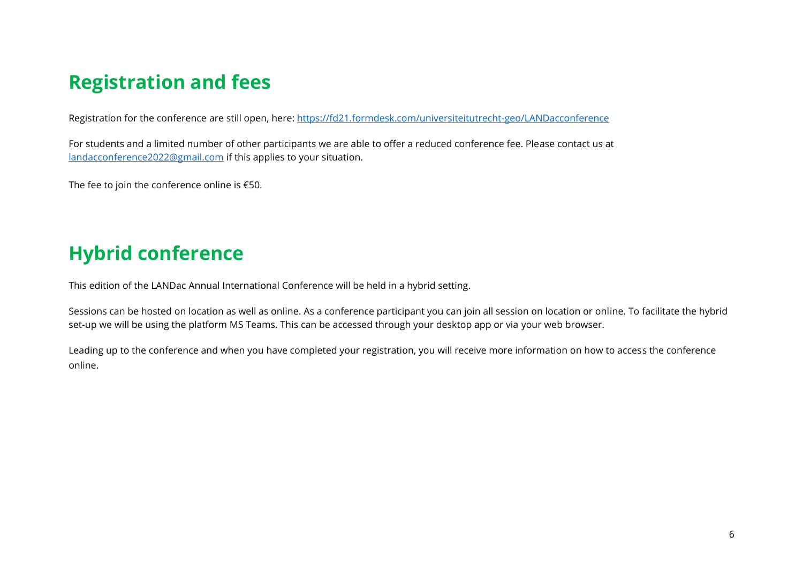# <span id="page-5-0"></span>**Registration and fees**

Registration for the conference are still open, here:<https://fd21.formdesk.com/universiteitutrecht-geo/LANDacconference>

For students and a limited number of other participants we are able to offer a reduced conference fee. Please contact us at [landacconference2022@gmail.com](mailto:landacconference2022@gmail.com) if this applies to your situation.

The fee to join the conference online is €50.

# <span id="page-5-1"></span>**Hybrid conference**

This edition of the LANDac Annual International Conference will be held in a hybrid setting.

Sessions can be hosted on location as well as online. As a conference participant you can join all session on location or online. To facilitate the hybrid set-up we will be using the platform MS Teams. This can be accessed through your desktop app or via your web browser.

Leading up to the conference and when you have completed your registration, you will receive more information on how to access the conference online.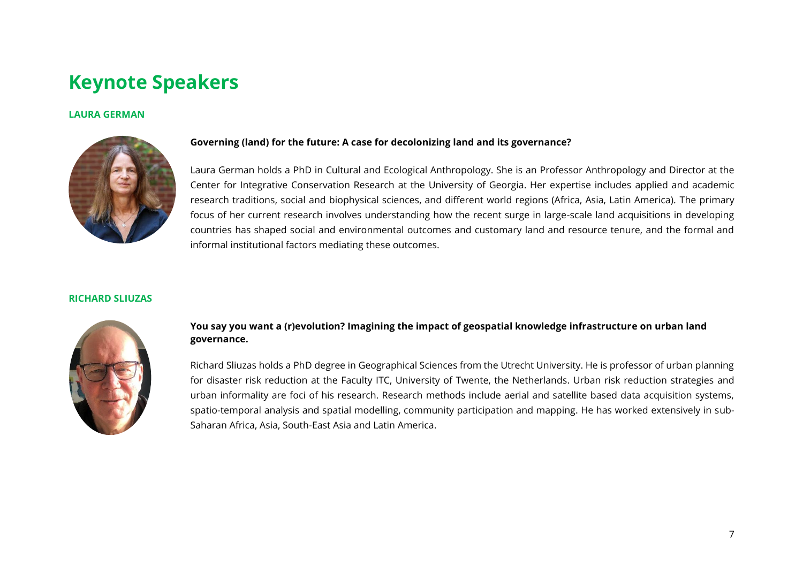# <span id="page-6-0"></span>**Keynote Speakers**

#### **LAURA GERMAN**



#### **Governing (land) for the future: A case for decolonizing land and its governance?**

Laura German holds a PhD in Cultural and Ecological Anthropology. She is an Professor Anthropology and Director at the Center for Integrative Conservation Research at the University of Georgia. Her expertise includes applied and academic research traditions, social and biophysical sciences, and different world regions (Africa, Asia, Latin America). The primary focus of her current research involves understanding how the recent surge in large-scale land acquisitions in developing countries has shaped social and environmental outcomes and customary land and resource tenure, and the formal and informal institutional factors mediating these outcomes.

#### **RICHARD SLIUZAS**



#### **You say you want a (r)evolution? Imagining the impact of geospatial knowledge infrastructure on urban land governance.**

Richard Sliuzas holds a PhD degree in Geographical Sciences from the Utrecht University. He is professor of urban planning for disaster risk reduction at the Faculty ITC, University of Twente, the Netherlands. Urban risk reduction strategies and urban informality are foci of his research. Research methods include aerial and satellite based data acquisition systems, spatio-temporal analysis and spatial modelling, community participation and mapping. He has worked extensively in sub-Saharan Africa, Asia, South-East Asia and Latin America.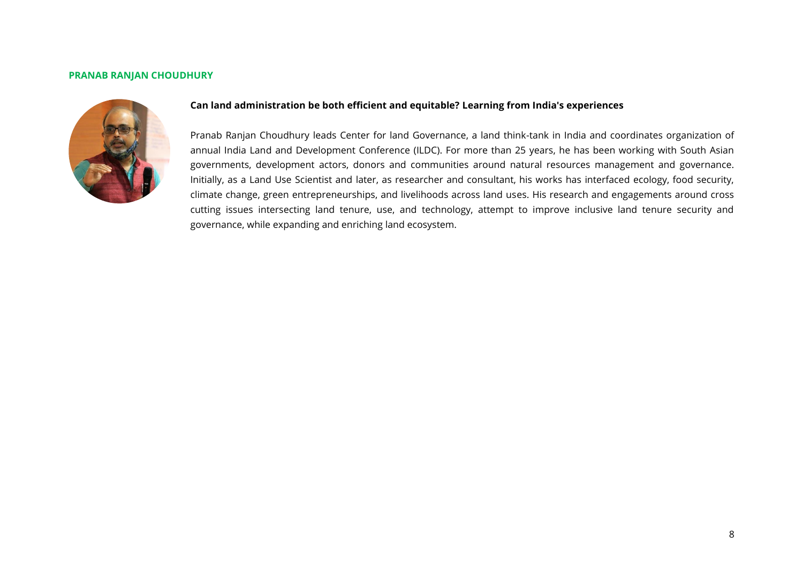#### **PRANAB RANJAN CHOUDHURY**



#### **Can land administration be both efficient and equitable? Learning from India's experiences**

Pranab Ranjan Choudhury leads Center for land Governance, a land think-tank in India and coordinates organization of annual India Land and Development Conference (ILDC). For more than 25 years, he has been working with South Asian governments, development actors, donors and communities around natural resources management and governance. Initially, as a Land Use Scientist and later, as researcher and consultant, his works has interfaced ecology, food security, climate change, green entrepreneurships, and livelihoods across land uses. His research and engagements around cross cutting issues intersecting land tenure, use, and technology, attempt to improve inclusive land tenure security and governance, while expanding and enriching land ecosystem.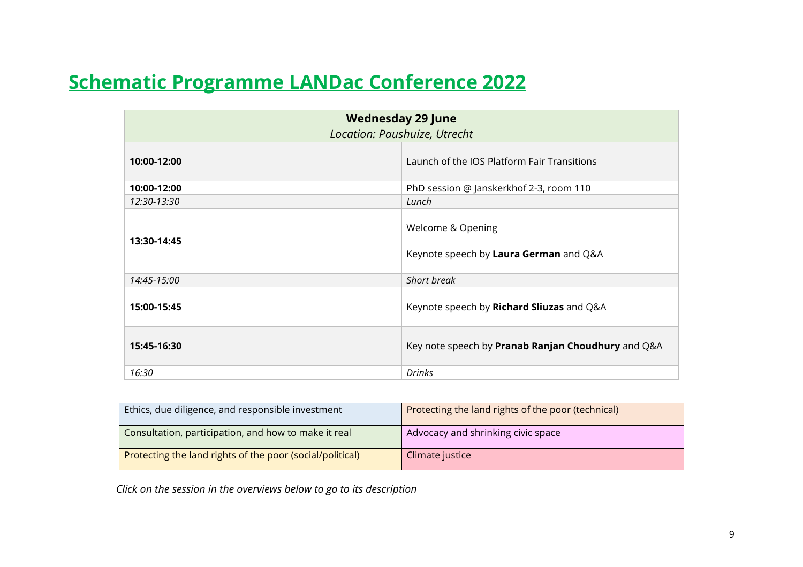# <span id="page-8-0"></span>**Schematic Programme LANDac Conference 2022**

| <b>Wednesday 29 June</b><br>Location: Paushuize, Utrecht |                                                             |  |  |  |
|----------------------------------------------------------|-------------------------------------------------------------|--|--|--|
| 10:00-12:00                                              | Launch of the IOS Platform Fair Transitions                 |  |  |  |
| 10:00-12:00                                              | PhD session @ Janskerkhof 2-3, room 110                     |  |  |  |
| 12:30-13:30                                              | Lunch                                                       |  |  |  |
| 13:30-14:45                                              | Welcome & Opening<br>Keynote speech by Laura German and Q&A |  |  |  |
| 14:45-15:00                                              | Short break                                                 |  |  |  |
| 15:00-15:45                                              | Keynote speech by Richard Sliuzas and Q&A                   |  |  |  |
| 15:45-16:30                                              | Key note speech by Pranab Ranjan Choudhury and Q&A          |  |  |  |
| 16:30                                                    | <b>Drinks</b>                                               |  |  |  |

| Ethics, due diligence, and responsible investment         | Protecting the land rights of the poor (technical) |
|-----------------------------------------------------------|----------------------------------------------------|
| Consultation, participation, and how to make it real      | Advocacy and shrinking civic space                 |
| Protecting the land rights of the poor (social/political) | Climate justice                                    |

*Click on the session in the overviews below to go to its description*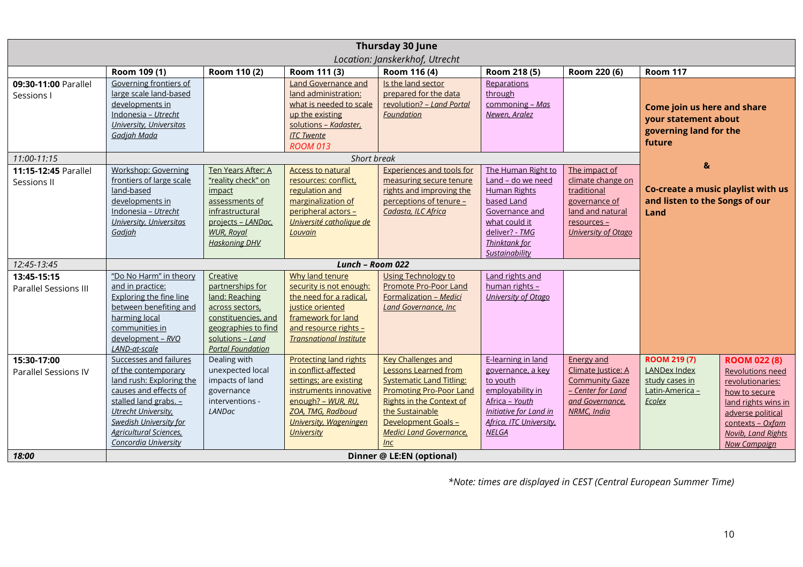| Thursday 30 June<br>Location: Janskerkhof, Utrecht |                                                                                                                                                                                                                                               |                                                                                                                                                                 |                                                                                                                                                                                                            |                                                                                                                                                                                                                                                     |                                                                                                                                                                             |                                                                                                                                     |                                                                                              |                                                                                                                                                                                                         |
|----------------------------------------------------|-----------------------------------------------------------------------------------------------------------------------------------------------------------------------------------------------------------------------------------------------|-----------------------------------------------------------------------------------------------------------------------------------------------------------------|------------------------------------------------------------------------------------------------------------------------------------------------------------------------------------------------------------|-----------------------------------------------------------------------------------------------------------------------------------------------------------------------------------------------------------------------------------------------------|-----------------------------------------------------------------------------------------------------------------------------------------------------------------------------|-------------------------------------------------------------------------------------------------------------------------------------|----------------------------------------------------------------------------------------------|---------------------------------------------------------------------------------------------------------------------------------------------------------------------------------------------------------|
|                                                    | Room 109 (1)                                                                                                                                                                                                                                  | Room 110 (2)                                                                                                                                                    | Room 111 (3)                                                                                                                                                                                               | Room 116 (4)                                                                                                                                                                                                                                        | Room 218 (5)                                                                                                                                                                | Room 220 (6)                                                                                                                        | <b>Room 117</b>                                                                              |                                                                                                                                                                                                         |
| 09:30-11:00 Parallel<br>Sessions I                 | Governing frontiers of<br>large scale land-based<br>developments in<br>Indonesia - Utrecht<br>University, Universitas<br>Gadjah Mada                                                                                                          |                                                                                                                                                                 | <b>Land Governance and</b><br>land administration:<br>what is needed to scale<br>up the existing<br>solutions - Kadaster,<br><b>ITC Twente</b><br><b>ROOM 013</b>                                          | Is the land sector<br>prepared for the data<br>revolution? - Land Portal<br>Foundation                                                                                                                                                              | Reparations<br>through<br>commoning - Mas<br>Newen, Aralez                                                                                                                  |                                                                                                                                     | Come join us here and share<br>your statement about<br>governing land for the<br>future      |                                                                                                                                                                                                         |
| 11:00-11:15                                        |                                                                                                                                                                                                                                               |                                                                                                                                                                 | Short break                                                                                                                                                                                                |                                                                                                                                                                                                                                                     |                                                                                                                                                                             |                                                                                                                                     |                                                                                              |                                                                                                                                                                                                         |
| 11:15-12:45 Parallel<br>Sessions II                | Workshop: Governing<br>frontiers of large scale<br>land-based<br>developments in<br>Indonesia - Utrecht<br><b>University, Universitas</b><br>Gadjah                                                                                           | Ten Years After: A<br>"reality check" on<br>impact<br>assessments of<br>infrastructural<br>projects - LANDac,<br><b>WUR, Royal</b><br><b>Haskoning DHV</b>      | <b>Access to natural</b><br>resources: conflict,<br>regulation and<br>marginalization of<br>peripheral actors -<br>Université catholique de<br>Louvain                                                     | <b>Experiences and tools for</b><br>measuring secure tenure<br>rights and improving the<br>perceptions of tenure -<br>Cadasta, ILC Africa                                                                                                           | The Human Right to<br>Land - do we need<br><b>Human Rights</b><br>based Land<br>Governance and<br>what could it<br>deliver? - TMG<br><b>Thinktank for</b><br>Sustainability | The impact of<br>climate change on<br>traditional<br>governance of<br>land and natural<br>resources -<br><b>University of Otago</b> | $\mathbf{g}$<br>Co-create a music playlist with us<br>and listen to the Songs of our<br>Land |                                                                                                                                                                                                         |
| 12:45-13:45                                        |                                                                                                                                                                                                                                               |                                                                                                                                                                 | Lunch - Room 022                                                                                                                                                                                           |                                                                                                                                                                                                                                                     |                                                                                                                                                                             |                                                                                                                                     |                                                                                              |                                                                                                                                                                                                         |
| 13:45-15:15<br>Parallel Sessions III               | "Do No Harm" in theory<br>and in practice:<br><b>Exploring the fine line</b><br>between benefiting and<br>harming local<br>communities in<br>development - RVO<br>LAND-at-scale                                                               | Creative<br>partnerships for<br>land: Reaching<br>across sectors,<br>constituencies, and<br>geographies to find<br>solutions - Land<br><b>Portal Foundation</b> | Why land tenure<br>security is not enough:<br>the need for a radical,<br>justice oriented<br>framework for land<br>and resource rights -<br><b>Transnational Institute</b>                                 | <b>Using Technology to</b><br>Promote Pro-Poor Land<br>Formalization - Medici<br><b>Land Governance, Inc.</b>                                                                                                                                       | Land rights and<br>human rights -<br>University of Otago                                                                                                                    |                                                                                                                                     |                                                                                              |                                                                                                                                                                                                         |
| 15:30-17:00<br>Parallel Sessions IV                | Successes and failures<br>of the contemporary<br>land rush: Exploring the<br>causes and effects of<br>stalled land grabs. -<br>Utrecht University,<br><b>Swedish University for</b><br><b>Agricultural Sciences</b> ,<br>Concordia University | Dealing with<br>unexpected local<br>impacts of land<br>governance<br>interventions -<br><b>LANDac</b>                                                           | <b>Protecting land rights</b><br>in conflict-affected<br>settings; are existing<br>instruments innovative<br>enough? - WUR, RU,<br>ZOA, TMG, Radboud<br><b>University, Wageningen</b><br><b>University</b> | <b>Key Challenges and</b><br><b>Lessons Learned from</b><br><b>Systematic Land Titling:</b><br><b>Promoting Pro-Poor Land</b><br><b>Rights in the Context of</b><br>the Sustainable<br>Development Goals -<br><b>Medici Land Governance,</b><br>Inc | E-learning in land<br>governance, a key<br>to youth<br>employability in<br>Africa - Youth<br>Initiative for Land in<br>Africa, ITC University,<br><b>NELGA</b>              | <b>Energy and</b><br>Climate Justice: A<br><b>Community Gaze</b><br>- Center for Land<br>and Governance,<br>NRMC, India             | <b>ROOM 219 (7)</b><br><b>LANDex Index</b><br>study cases in<br>Latin-America -<br>Ecolex    | <b>ROOM 022 (8)</b><br><b>Revolutions need</b><br>revolutionaries:<br>how to secure<br>land rights wins in<br>adverse political<br>contexts - Oxfam<br><b>Novib, Land Rights</b><br><b>Now Campaign</b> |
| Dinner @ LE:EN (optional)<br>18:00                 |                                                                                                                                                                                                                                               |                                                                                                                                                                 |                                                                                                                                                                                                            |                                                                                                                                                                                                                                                     |                                                                                                                                                                             |                                                                                                                                     |                                                                                              |                                                                                                                                                                                                         |

*\*Note: times are displayed in CEST (Central European Summer Time)*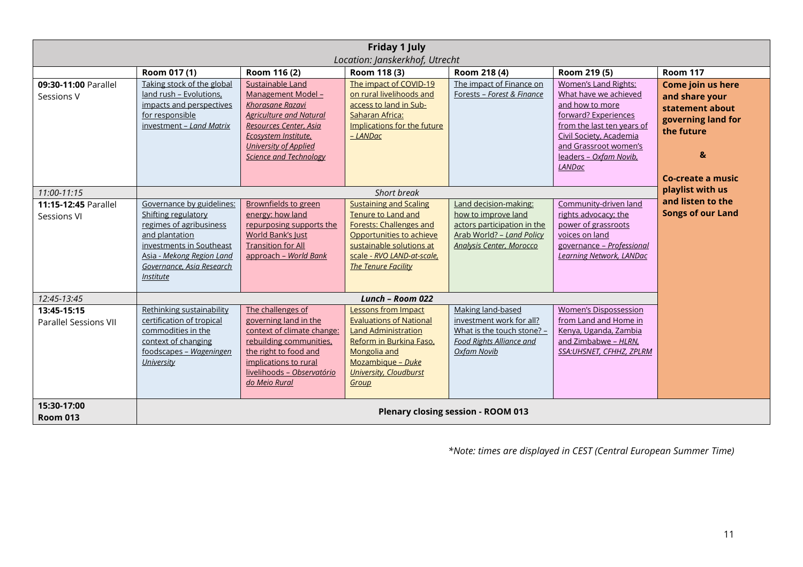| <b>Friday 1 July</b>                 |                                                                                                                                                                                                                |                                                                                                                                                                                                                                 |                                                                                                                                                                                                           |                                                                                                                                             |                                                                                                                                                                                                                                       |                                                                                                                                                    |  |  |
|--------------------------------------|----------------------------------------------------------------------------------------------------------------------------------------------------------------------------------------------------------------|---------------------------------------------------------------------------------------------------------------------------------------------------------------------------------------------------------------------------------|-----------------------------------------------------------------------------------------------------------------------------------------------------------------------------------------------------------|---------------------------------------------------------------------------------------------------------------------------------------------|---------------------------------------------------------------------------------------------------------------------------------------------------------------------------------------------------------------------------------------|----------------------------------------------------------------------------------------------------------------------------------------------------|--|--|
| Location: Janskerkhof, Utrecht       |                                                                                                                                                                                                                |                                                                                                                                                                                                                                 |                                                                                                                                                                                                           |                                                                                                                                             |                                                                                                                                                                                                                                       |                                                                                                                                                    |  |  |
| 09:30-11:00 Parallel<br>Sessions V   | Room 017 (1)<br>Taking stock of the global<br>land rush - Evolutions,<br>impacts and perspectives<br>for responsible<br>investment - Land Matrix                                                               | Room 116 (2)<br>Sustainable Land<br>Management Model -<br>Khorasane Razavi<br><b>Agriculture and Natural</b><br>Resources Center, Asia<br>Ecosystem Institute,<br><b>University of Applied</b><br><b>Science and Technology</b> | Room 118 (3)<br>The impact of COVID-19<br>on rural livelihoods and<br>access to land in Sub-<br>Saharan Africa:<br>Implications for the future<br>- LANDac                                                | Room 218 (4)<br>The impact of Finance on<br>Forests - Forest & Finance                                                                      | Room 219 (5)<br><b>Women's Land Rights:</b><br>What have we achieved<br>and how to more<br>forward? Experiences<br>from the last ten years of<br>Civil Society, Academia<br>and Grassroot women's<br>leaders - Oxfam Novib,<br>LANDac | <b>Room 117</b><br>Come join us here<br>and share your<br>statement about<br>governing land for<br>the future<br>$\mathbf{a}$<br>Co-create a music |  |  |
| 11:00-11:15                          |                                                                                                                                                                                                                |                                                                                                                                                                                                                                 | Short break                                                                                                                                                                                               |                                                                                                                                             |                                                                                                                                                                                                                                       | playlist with us                                                                                                                                   |  |  |
| 11:15-12:45 Parallel<br>Sessions VI  | Governance by guidelines:<br>Shifting regulatory<br>regimes of agribusiness<br>and plantation<br>investments in Southeast<br>Asia - Mekong Region Land<br>Governance, Asia Research<br><i><b>Institute</b></i> | <b>Brownfields to green</b><br>energy: how land<br>repurposing supports the<br>World Bank's Just<br><b>Transition for All</b><br>approach - World Bank                                                                          | <b>Sustaining and Scaling</b><br>Tenure to Land and<br><b>Forests: Challenges and</b><br>Opportunities to achieve<br>sustainable solutions at<br>scale - RVO LAND-at-scale,<br><b>The Tenure Facility</b> | Land decision-making:<br>how to improve land<br>actors participation in the<br>Arab World? - Land Policy<br><b>Analysis Center, Morocco</b> | Community-driven land<br>rights advocacy; the<br>power of grassroots<br>voices on land<br>governance - Professional<br>Learning Network, LANDac                                                                                       | and listen to the<br><b>Songs of our Land</b>                                                                                                      |  |  |
| 12:45-13:45                          |                                                                                                                                                                                                                |                                                                                                                                                                                                                                 | Lunch - Room 022                                                                                                                                                                                          |                                                                                                                                             |                                                                                                                                                                                                                                       |                                                                                                                                                    |  |  |
| 13:45-15:15<br>Parallel Sessions VII | Rethinking sustainability<br>certification of tropical<br>commodities in the<br>context of changing<br>foodscapes - Wageningen<br>University                                                                   | The challenges of<br>governing land in the<br>context of climate change:<br>rebuilding communities,<br>the right to food and<br>implications to rural<br>livelihoods - Observatório<br>do Meio Rural                            | Lessons from Impact<br><b>Evaluations of National</b><br><b>Land Administration</b><br>Reform in Burkina Faso,<br>Mongolia and<br>Mozambique - Duke<br><b>University, Cloudburst</b><br>Group             | Making land-based<br>investment work for all?<br>What is the touch stone? -<br><b>Food Rights Alliance and</b><br>Oxfam Novib               | <b>Women's Dispossession</b><br>from Land and Home in<br>Kenya, Uganda, Zambia<br>and Zimbabwe - HLRN,<br>SSA:UHSNET, CFHHZ, ZPLRM                                                                                                    |                                                                                                                                                    |  |  |
| 15:30-17:00<br><b>Room 013</b>       | <b>Plenary closing session - ROOM 013</b>                                                                                                                                                                      |                                                                                                                                                                                                                                 |                                                                                                                                                                                                           |                                                                                                                                             |                                                                                                                                                                                                                                       |                                                                                                                                                    |  |  |

*\*Note: times are displayed in CEST (Central European Summer Time)*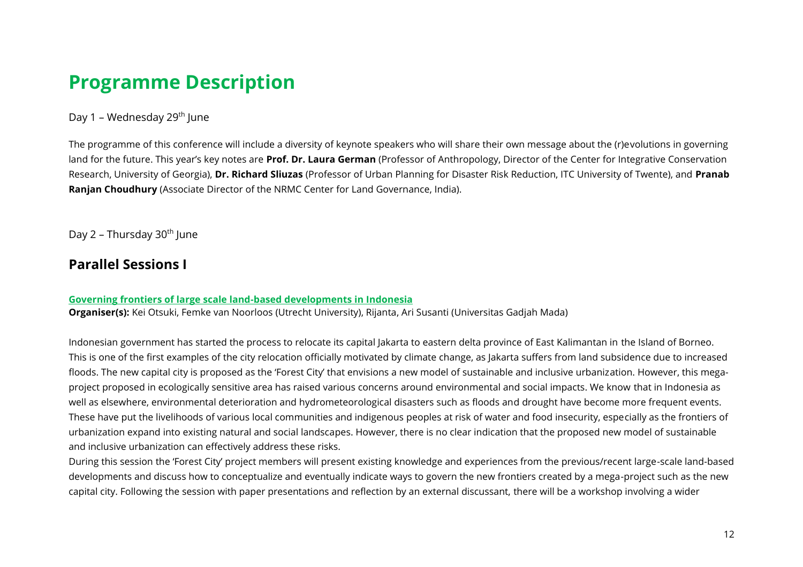# <span id="page-11-0"></span>**Programme Description**

#### <span id="page-11-1"></span>Day 1 – Wednesday 29<sup>th</sup> June

The programme of this conference will include a diversity of keynote speakers who will share their own message about the (r)evolutions in governing land for the future. This year's key notes are **Prof. Dr. Laura German** (Professor of Anthropology, Director of the Center for Integrative Conservation Research, University of Georgia), **Dr. Richard Sliuzas** (Professor of Urban Planning for Disaster Risk Reduction, ITC University of Twente), and **Pranab Ranjan Choudhury** (Associate Director of the NRMC Center for Land Governance, India).

<span id="page-11-2"></span>Day 2 – Thursday 30<sup>th</sup> June

## <span id="page-11-3"></span>**Parallel Sessions I**

#### <span id="page-11-4"></span>**Governing frontiers of large scale land-based developments in Indonesia**

**Organiser(s):** Kei Otsuki, Femke van Noorloos (Utrecht University), Rijanta, Ari Susanti (Universitas Gadjah Mada)

Indonesian government has started the process to relocate its capital Jakarta to eastern delta province of East Kalimantan in the Island of Borneo. This is one of the first examples of the city relocation officially motivated by climate change, as Jakarta suffers from land subsidence due to increased floods. The new capital city is proposed as the 'Forest City' that envisions a new model of sustainable and inclusive urbanization. However, this megaproject proposed in ecologically sensitive area has raised various concerns around environmental and social impacts. We know that in Indonesia as well as elsewhere, environmental deterioration and hydrometeorological disasters such as floods and drought have become more frequent events. These have put the livelihoods of various local communities and indigenous peoples at risk of water and food insecurity, especially as the frontiers of urbanization expand into existing natural and social landscapes. However, there is no clear indication that the proposed new model of sustainable and inclusive urbanization can effectively address these risks.

During this session the 'Forest City' project members will present existing knowledge and experiences from the previous/recent large-scale land-based developments and discuss how to conceptualize and eventually indicate ways to govern the new frontiers created by a mega-project such as the new capital city. Following the session with paper presentations and reflection by an external discussant, there will be a workshop involving a wider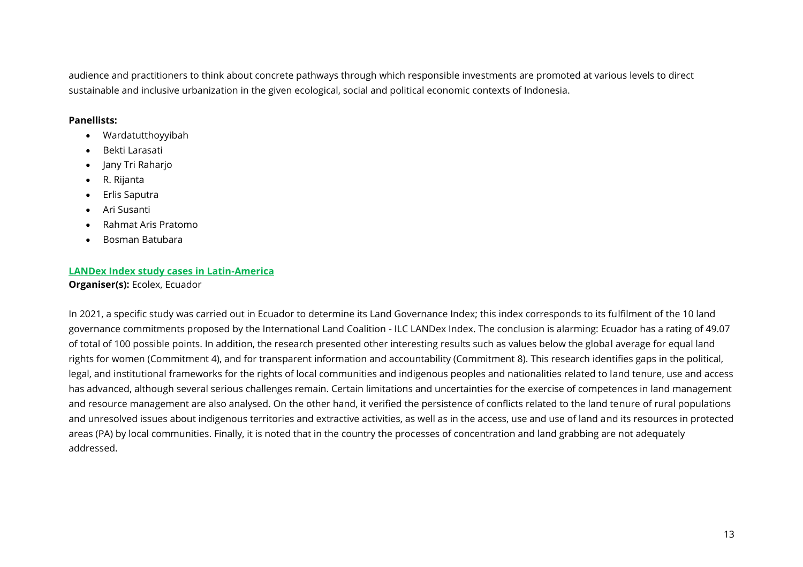audience and practitioners to think about concrete pathways through which responsible investments are promoted at various levels to direct sustainable and inclusive urbanization in the given ecological, social and political economic contexts of Indonesia.

#### **Panellists:**

- Wardatutthoyyibah
- Bekti Larasati
- Jany Tri Raharjo
- R. Rijanta
- Erlis Saputra
- Ari Susanti
- Rahmat Aris Pratomo
- Bosman Batubara

#### <span id="page-12-0"></span>**LANDex Index study cases in Latin-America Organiser(s):** Ecolex, Ecuador

In 2021, a specific study was carried out in Ecuador to determine its Land Governance Index; this index corresponds to its fulfilment of the 10 land governance commitments proposed by the International Land Coalition - ILC LANDex Index. The conclusion is alarming: Ecuador has a rating of 49.07 of total of 100 possible points. In addition, the research presented other interesting results such as values below the global average for equal land rights for women (Commitment 4), and for transparent information and accountability (Commitment 8). This research identifies gaps in the political, legal, and institutional frameworks for the rights of local communities and indigenous peoples and nationalities related to land tenure, use and access has advanced, although several serious challenges remain. Certain limitations and uncertainties for the exercise of competences in land management and resource management are also analysed. On the other hand, it verified the persistence of conflicts related to the land tenure of rural populations and unresolved issues about indigenous territories and extractive activities, as well as in the access, use and use of land and its resources in protected areas (PA) by local communities. Finally, it is noted that in the country the processes of concentration and land grabbing are not adequately addressed.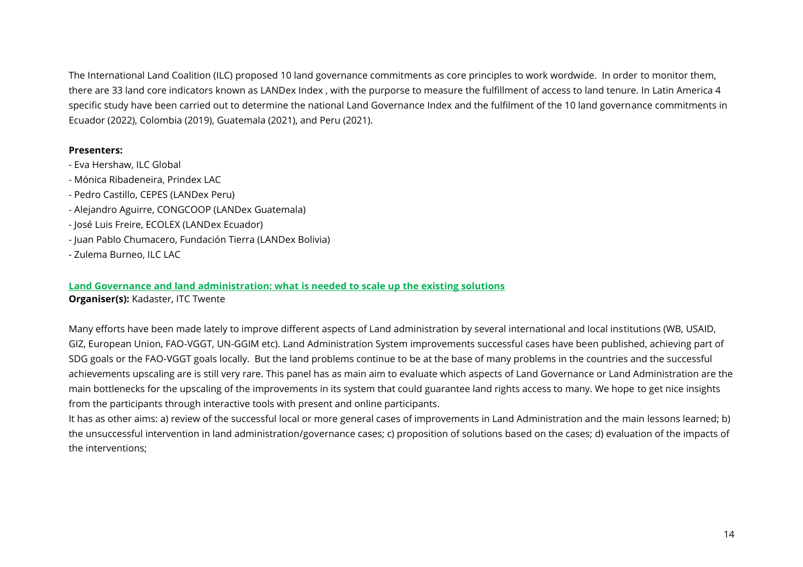The International Land Coalition (ILC) proposed 10 land governance commitments as core principles to work wordwide. In order to monitor them, there are 33 land core indicators known as LANDex Index , with the purporse to measure the fulfillment of access to land tenure. In Latin America 4 specific study have been carried out to determine the national Land Governance Index and the fulfilment of the 10 land governance commitments in Ecuador (2022), Colombia (2019), Guatemala (2021), and Peru (2021).

#### **Presenters:**

- Eva Hershaw, ILC Global
- Mónica Ribadeneira, Prindex LAC
- Pedro Castillo, CEPES (LANDex Peru)
- Alejandro Aguirre, CONGCOOP (LANDex Guatemala)
- José Luis Freire, ECOLEX (LANDex Ecuador)
- Juan Pablo Chumacero, Fundación Tierra (LANDex Bolivia)
- Zulema Burneo, ILC LAC

#### <span id="page-13-0"></span>**Land Governance and land administration: what is needed to scale up the existing solutions**

**Organiser(s):** Kadaster, ITC Twente

Many efforts have been made lately to improve different aspects of Land administration by several international and local institutions (WB, USAID, GIZ, European Union, FAO-VGGT, UN-GGIM etc). Land Administration System improvements successful cases have been published, achieving part of SDG goals or the FAO-VGGT goals locally. But the land problems continue to be at the base of many problems in the countries and the successful achievements upscaling are is still very rare. This panel has as main aim to evaluate which aspects of Land Governance or Land Administration are the main bottlenecks for the upscaling of the improvements in its system that could guarantee land rights access to many. We hope to get nice insights from the participants through interactive tools with present and online participants.

It has as other aims: a) review of the successful local or more general cases of improvements in Land Administration and the main lessons learned; b) the unsuccessful intervention in land administration/governance cases; c) proposition of solutions based on the cases; d) evaluation of the impacts of the interventions;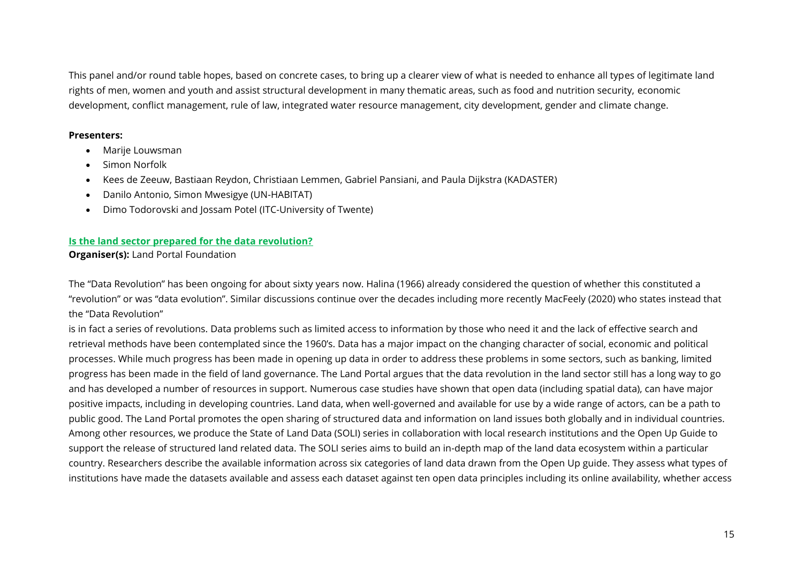This panel and/or round table hopes, based on concrete cases, to bring up a clearer view of what is needed to enhance all types of legitimate land rights of men, women and youth and assist structural development in many thematic areas, such as food and nutrition security, economic development, conflict management, rule of law, integrated water resource management, city development, gender and climate change.

#### **Presenters:**

- Marije Louwsman
- Simon Norfolk
- Kees de Zeeuw, Bastiaan Reydon, Christiaan Lemmen, Gabriel Pansiani, and Paula Dijkstra (KADASTER)
- Danilo Antonio, Simon Mwesigye (UN-HABITAT)
- Dimo Todorovski and Jossam Potel (ITC-University of Twente)

#### <span id="page-14-0"></span>**Is the land sector prepared for the data revolution?**

**Organiser(s):** Land Portal Foundation

The "Data Revolution" has been ongoing for about sixty years now. Halina (1966) already considered the question of whether this constituted a "revolution" or was "data evolution". Similar discussions continue over the decades including more recently MacFeely (2020) who states instead that the "Data Revolution"

is in fact a series of revolutions. Data problems such as limited access to information by those who need it and the lack of effective search and retrieval methods have been contemplated since the 1960's. Data has a major impact on the changing character of social, economic and political processes. While much progress has been made in opening up data in order to address these problems in some sectors, such as banking, limited progress has been made in the field of land governance. The Land Portal argues that the data revolution in the land sector still has a long way to go and has developed a number of resources in support. Numerous case studies have shown that open data (including spatial data), can have major positive impacts, including in developing countries. Land data, when well-governed and available for use by a wide range of actors, can be a path to public good. The Land Portal promotes the open sharing of structured data and information on land issues both globally and in individual countries. Among other resources, we produce the State of Land Data (SOLI) series in collaboration with local research institutions and the Open Up Guide to support the release of structured land related data. The SOLI series aims to build an in-depth map of the land data ecosystem within a particular country. Researchers describe the available information across six categories of land data drawn from the Open Up guide. They assess what types of institutions have made the datasets available and assess each dataset against ten open data principles including its online availability, whether access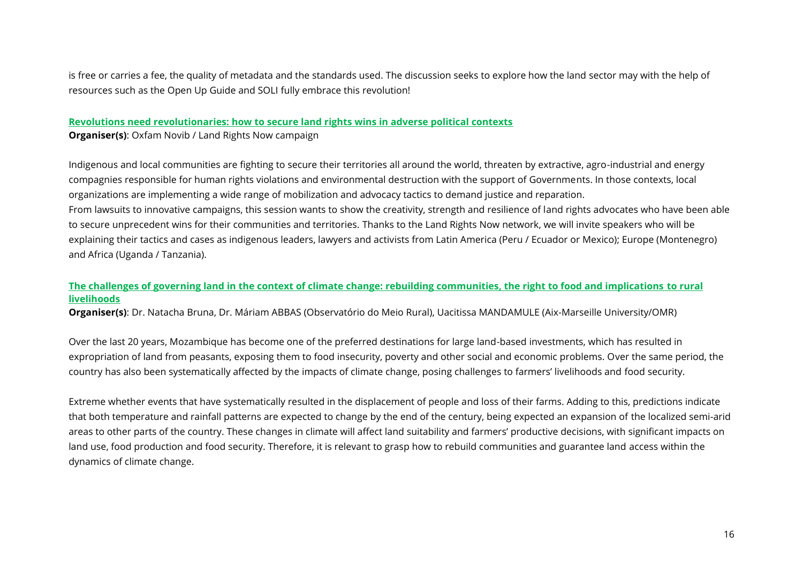is free or carries a fee, the quality of metadata and the standards used. The discussion seeks to explore how the land sector may with the help of resources such as the Open Up Guide and SOLI fully embrace this revolution!

# <span id="page-15-0"></span>**Revolutions need revolutionaries: how to secure land rights wins in adverse political contexts**

**Organiser(s)**: Oxfam Novib / Land Rights Now campaign

Indigenous and local communities are fighting to secure their territories all around the world, threaten by extractive, agro-industrial and energy compagnies responsible for human rights violations and environmental destruction with the support of Governments. In those contexts, local organizations are implementing a wide range of mobilization and advocacy tactics to demand justice and reparation.

From lawsuits to innovative campaigns, this session wants to show the creativity, strength and resilience of land rights advocates who have been able to secure unprecedent wins for their communities and territories. Thanks to the Land Rights Now network, we will invite speakers who will be explaining their tactics and cases as indigenous leaders, lawyers and activists from Latin America (Peru / Ecuador or Mexico); Europe (Montenegro) and Africa (Uganda / Tanzania).

#### <span id="page-15-1"></span>**The challenges of governing land in the context of climate change: rebuilding communities, the right to food and implications to rural livelihoods**

**Organiser(s)**: Dr. Natacha Bruna, Dr. Máriam ABBAS (Observatório do Meio Rural), Uacitissa MANDAMULE (Aix-Marseille University/OMR)

Over the last 20 years, Mozambique has become one of the preferred destinations for large land-based investments, which has resulted in expropriation of land from peasants, exposing them to food insecurity, poverty and other social and economic problems. Over the same period, the country has also been systematically affected by the impacts of climate change, posing challenges to farmers' livelihoods and food security.

Extreme whether events that have systematically resulted in the displacement of people and loss of their farms. Adding to this, predictions indicate that both temperature and rainfall patterns are expected to change by the end of the century, being expected an expansion of the localized semi-arid areas to other parts of the country. These changes in climate will affect land suitability and farmers' productive decisions, with significant impacts on land use, food production and food security. Therefore, it is relevant to grasp how to rebuild communities and guarantee land access within the dynamics of climate change.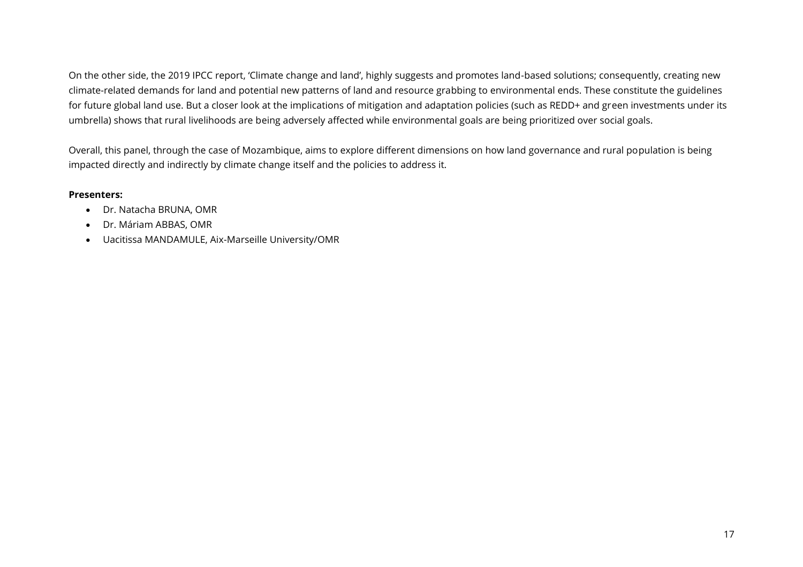On the other side, the 2019 IPCC report, 'Climate change and land', highly suggests and promotes land-based solutions; consequently, creating new climate-related demands for land and potential new patterns of land and resource grabbing to environmental ends. These constitute the guidelines for future global land use. But a closer look at the implications of mitigation and adaptation policies (such as REDD+ and green investments under its umbrella) shows that rural livelihoods are being adversely affected while environmental goals are being prioritized over social goals.

Overall, this panel, through the case of Mozambique, aims to explore different dimensions on how land governance and rural population is being impacted directly and indirectly by climate change itself and the policies to address it.

#### **Presenters:**

- Dr. Natacha BRUNA, OMR
- Dr. Máriam ABBAS, OMR
- Uacitissa MANDAMULE, Aix-Marseille University/OMR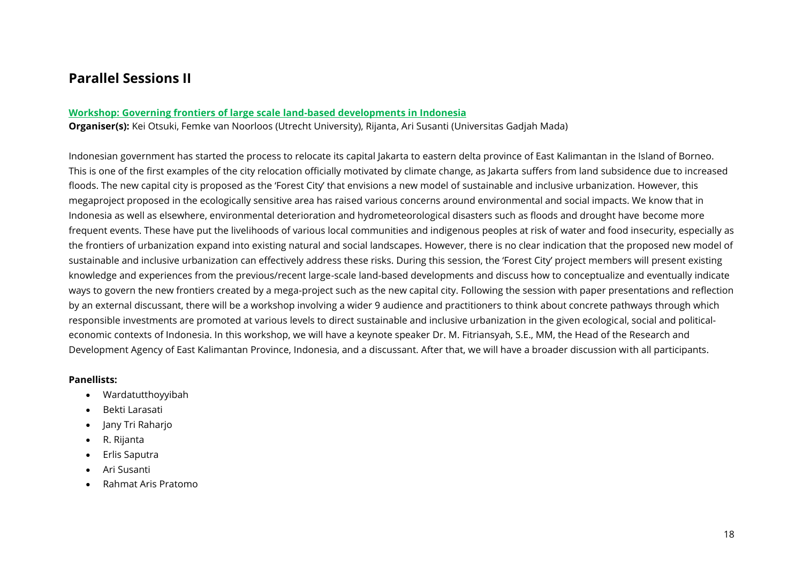### <span id="page-17-0"></span>**Parallel Sessions II**

#### <span id="page-17-1"></span>**Workshop: Governing frontiers of large scale land-based developments in Indonesia**

**Organiser(s):** Kei Otsuki, Femke van Noorloos (Utrecht University), Rijanta, Ari Susanti (Universitas Gadjah Mada)

Indonesian government has started the process to relocate its capital Jakarta to eastern delta province of East Kalimantan in the Island of Borneo. This is one of the first examples of the city relocation officially motivated by climate change, as Jakarta suffers from land subsidence due to increased floods. The new capital city is proposed as the 'Forest City' that envisions a new model of sustainable and inclusive urbanization. However, this megaproject proposed in the ecologically sensitive area has raised various concerns around environmental and social impacts. We know that in Indonesia as well as elsewhere, environmental deterioration and hydrometeorological disasters such as floods and drought have become more frequent events. These have put the livelihoods of various local communities and indigenous peoples at risk of water and food insecurity, especially as the frontiers of urbanization expand into existing natural and social landscapes. However, there is no clear indication that the proposed new model of sustainable and inclusive urbanization can effectively address these risks. During this session, the 'Forest City' project members will present existing knowledge and experiences from the previous/recent large-scale land-based developments and discuss how to conceptualize and eventually indicate ways to govern the new frontiers created by a mega-project such as the new capital city. Following the session with paper presentations and reflection by an external discussant, there will be a workshop involving a wider 9 audience and practitioners to think about concrete pathways through which responsible investments are promoted at various levels to direct sustainable and inclusive urbanization in the given ecological, social and politicaleconomic contexts of Indonesia. In this workshop, we will have a keynote speaker Dr. M. Fitriansyah, S.E., MM, the Head of the Research and Development Agency of East Kalimantan Province, Indonesia, and a discussant. After that, we will have a broader discussion with all participants.

#### **Panellists:**

- Wardatutthoyyibah
- Bekti Larasati
- Jany Tri Raharjo
- R. Rijanta
- Erlis Saputra
- Ari Susanti
- Rahmat Aris Pratomo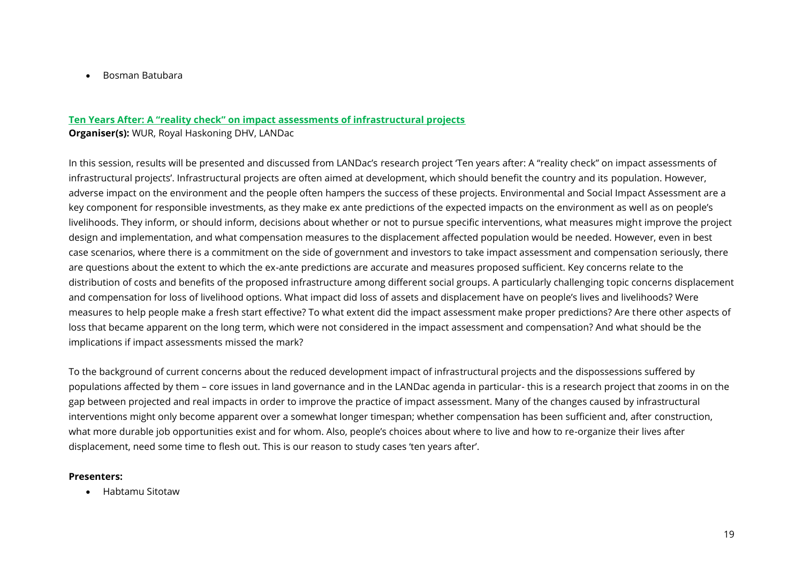• Bosman Batubara

#### **Ten Years After: A "reality check" on impact assessments of infrastructural projects**

**Organiser(s):** WUR, Royal Haskoning DHV, LANDac

In this session, results will be presented and discussed from LANDac's research project 'Ten years after: A "reality check" on impact assessments of infrastructural projects'. Infrastructural projects are often aimed at development, which should benefit the country and its population. However, adverse impact on the environment and the people often hampers the success of these projects. Environmental and Social Impact Assessment are a key component for responsible investments, as they make ex ante predictions of the expected impacts on the environment as well as on people's livelihoods. They inform, or should inform, decisions about whether or not to pursue specific interventions, what measures might improve the project design and implementation, and what compensation measures to the displacement affected population would be needed. However, even in best case scenarios, where there is a commitment on the side of government and investors to take impact assessment and compensation seriously, there are questions about the extent to which the ex-ante predictions are accurate and measures proposed sufficient. Key concerns relate to the distribution of costs and benefits of the proposed infrastructure among different social groups. A particularly challenging topic concerns displacement and compensation for loss of livelihood options. What impact did loss of assets and displacement have on people's lives and livelihoods? Were measures to help people make a fresh start effective? To what extent did the impact assessment make proper predictions? Are there other aspects of loss that became apparent on the long term, which were not considered in the impact assessment and compensation? And what should be the implications if impact assessments missed the mark?

To the background of current concerns about the reduced development impact of infrastructural projects and the dispossessions suffered by populations affected by them – core issues in land governance and in the LANDac agenda in particular- this is a research project that zooms in on the gap between projected and real impacts in order to improve the practice of impact assessment. Many of the changes caused by infrastructural interventions might only become apparent over a somewhat longer timespan; whether compensation has been sufficient and, after construction, what more durable job opportunities exist and for whom. Also, people's choices about where to live and how to re-organize their lives after displacement, need some time to flesh out. This is our reason to study cases 'ten years after'.

#### **Presenters:**

• Habtamu Sitotaw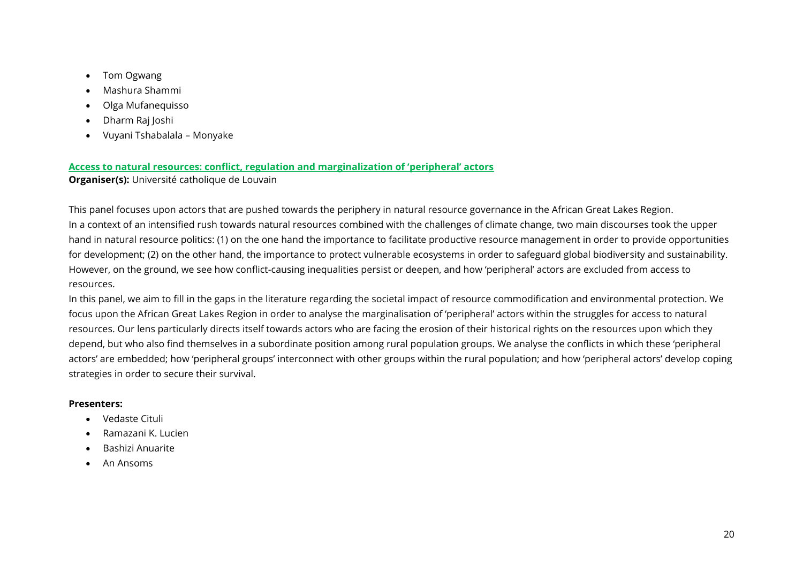- Tom Ogwang
- Mashura Shammi
- Olga Mufanequisso
- Dharm Raj Joshi
- Vuyani Tshabalala Monyake

#### <span id="page-19-0"></span>**Access to natural resources: conflict, regulation and marginalization of 'peripheral' actors**

**Organiser(s):** Université catholique de Louvain

This panel focuses upon actors that are pushed towards the periphery in natural resource governance in the African Great Lakes Region. In a context of an intensified rush towards natural resources combined with the challenges of climate change, two main discourses took the upper hand in natural resource politics: (1) on the one hand the importance to facilitate productive resource management in order to provide opportunities for development; (2) on the other hand, the importance to protect vulnerable ecosystems in order to safeguard global biodiversity and sustainability. However, on the ground, we see how conflict-causing inequalities persist or deepen, and how 'peripheral' actors are excluded from access to resources.

In this panel, we aim to fill in the gaps in the literature regarding the societal impact of resource commodification and environmental protection. We focus upon the African Great Lakes Region in order to analyse the marginalisation of 'peripheral' actors within the struggles for access to natural resources. Our lens particularly directs itself towards actors who are facing the erosion of their historical rights on the resources upon which they depend, but who also find themselves in a subordinate position among rural population groups. We analyse the conflicts in which these 'peripheral actors' are embedded; how 'peripheral groups' interconnect with other groups within the rural population; and how 'peripheral actors' develop coping strategies in order to secure their survival.

#### **Presenters:**

- Vedaste Cituli
- Ramazani K. Lucien
- Bashizi Anuarite
- An Ansoms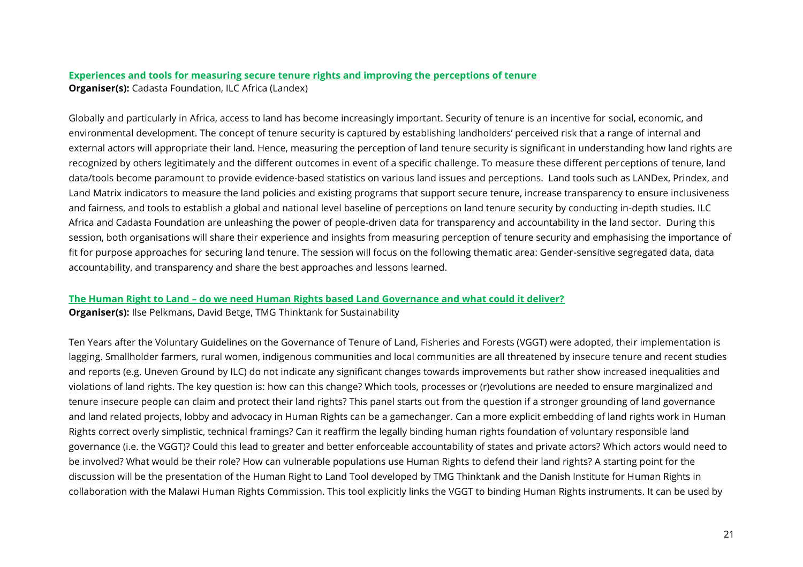#### <span id="page-20-0"></span>**Experiences and tools for measuring secure tenure rights and improving the perceptions of tenure Organiser(s):** Cadasta Foundation, ILC Africa (Landex)

Globally and particularly in Africa, access to land has become increasingly important. Security of tenure is an incentive for social, economic, and environmental development. The concept of tenure security is captured by establishing landholders' perceived risk that a range of internal and external actors will appropriate their land. Hence, measuring the perception of land tenure security is significant in understanding how land rights are recognized by others legitimately and the different outcomes in event of a specific challenge. To measure these different perceptions of tenure, land data/tools become paramount to provide evidence-based statistics on various land issues and perceptions. Land tools such as LANDex, Prindex, and Land Matrix indicators to measure the land policies and existing programs that support secure tenure, increase transparency to ensure inclusiveness and fairness, and tools to establish a global and national level baseline of perceptions on land tenure security by conducting in-depth studies. ILC Africa and Cadasta Foundation are unleashing the power of people-driven data for transparency and accountability in the land sector. During this session, both organisations will share their experience and insights from measuring perception of tenure security and emphasising the importance of fit for purpose approaches for securing land tenure. The session will focus on the following thematic area: Gender-sensitive segregated data, data accountability, and transparency and share the best approaches and lessons learned.

### <span id="page-20-1"></span>**The Human Right to Land – do we need Human Rights based Land Governance and what could it deliver?**

**Organiser(s):** Ilse Pelkmans, David Betge, TMG Thinktank for Sustainability

Ten Years after the Voluntary Guidelines on the Governance of Tenure of Land, Fisheries and Forests (VGGT) were adopted, their implementation is lagging. Smallholder farmers, rural women, indigenous communities and local communities are all threatened by insecure tenure and recent studies and reports (e.g. Uneven Ground by ILC) do not indicate any significant changes towards improvements but rather show increased inequalities and violations of land rights. The key question is: how can this change? Which tools, processes or (r)evolutions are needed to ensure marginalized and tenure insecure people can claim and protect their land rights? This panel starts out from the question if a stronger grounding of land governance and land related projects, lobby and advocacy in Human Rights can be a gamechanger. Can a more explicit embedding of land rights work in Human Rights correct overly simplistic, technical framings? Can it reaffirm the legally binding human rights foundation of voluntary responsible land governance (i.e. the VGGT)? Could this lead to greater and better enforceable accountability of states and private actors? Which actors would need to be involved? What would be their role? How can vulnerable populations use Human Rights to defend their land rights? A starting point for the discussion will be the presentation of the Human Right to Land Tool developed by TMG Thinktank and the Danish Institute for Human Rights in collaboration with the Malawi Human Rights Commission. This tool explicitly links the VGGT to binding Human Rights instruments. It can be used by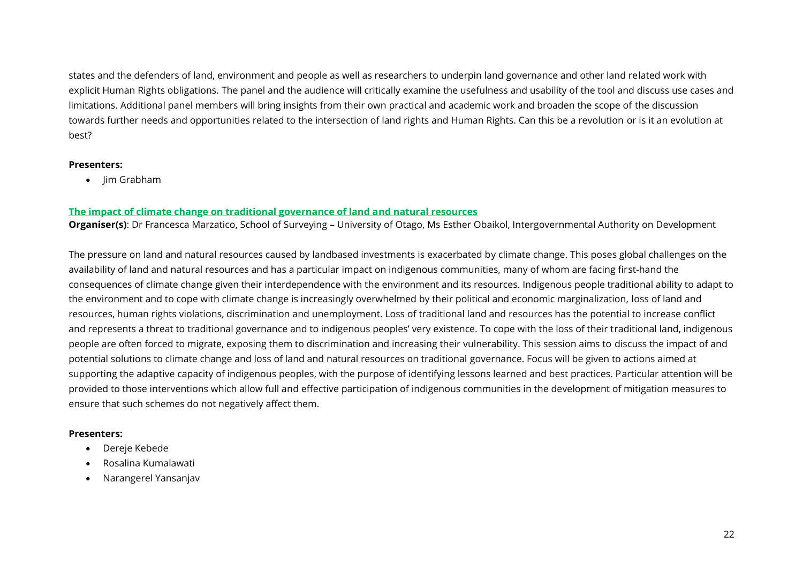states and the defenders of land, environment and people as well as researchers to underpin land governance and other land related work with explicit Human Rights obligations. The panel and the audience will critically examine the usefulness and usability of the tool and discuss use cases and limitations. Additional panel members will bring insights from their own practical and academic work and broaden the scope of the discussion towards further needs and opportunities related to the intersection of land rights and Human Rights. Can this be a revolution or is it an evolution at best?

#### **Presenters:**

• Jim Grabham

#### <span id="page-21-0"></span>**The impact of climate change on traditional governance of land and natural resources**

**Organiser(s)**: Dr Francesca Marzatico, School of Surveying – University of Otago, Ms Esther Obaikol, Intergovernmental Authority on Development

The pressure on land and natural resources caused by landbased investments is exacerbated by climate change. This poses global challenges on the availability of land and natural resources and has a particular impact on indigenous communities, many of whom are facing first-hand the consequences of climate change given their interdependence with the environment and its resources. Indigenous people traditional ability to adapt to the environment and to cope with climate change is increasingly overwhelmed by their political and economic marginalization, loss of land and resources, human rights violations, discrimination and unemployment. Loss of traditional land and resources has the potential to increase conflict and represents a threat to traditional governance and to indigenous peoples' very existence. To cope with the loss of their traditional land, indigenous people are often forced to migrate, exposing them to discrimination and increasing their vulnerability. This session aims to discuss the impact of and potential solutions to climate change and loss of land and natural resources on traditional governance. Focus will be given to actions aimed at supporting the adaptive capacity of indigenous peoples, with the purpose of identifying lessons learned and best practices. Particular attention will be provided to those interventions which allow full and effective participation of indigenous communities in the development of mitigation measures to ensure that such schemes do not negatively affect them.

#### **Presenters:**

- Dereje Kebede
- Rosalina Kumalawati
- Narangerel Yansanjav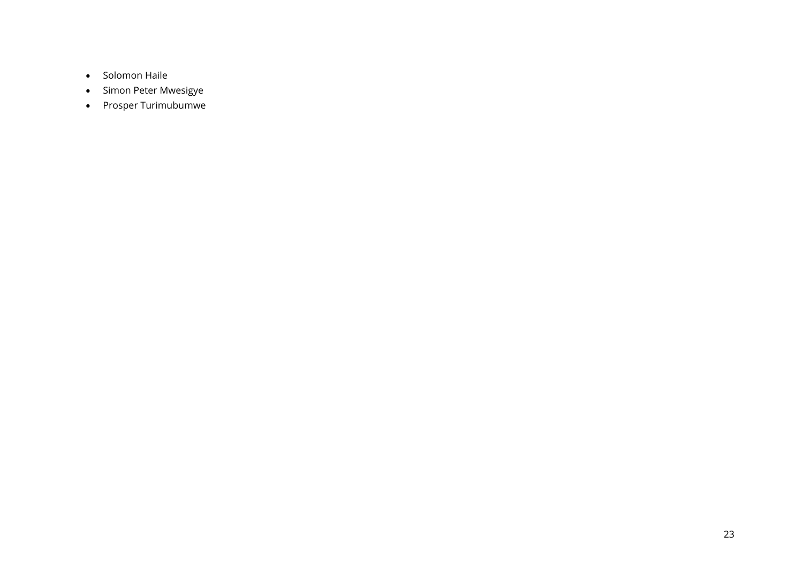- Solomon Haile
- Simon Peter Mwesigye
- Prosper Turimubumwe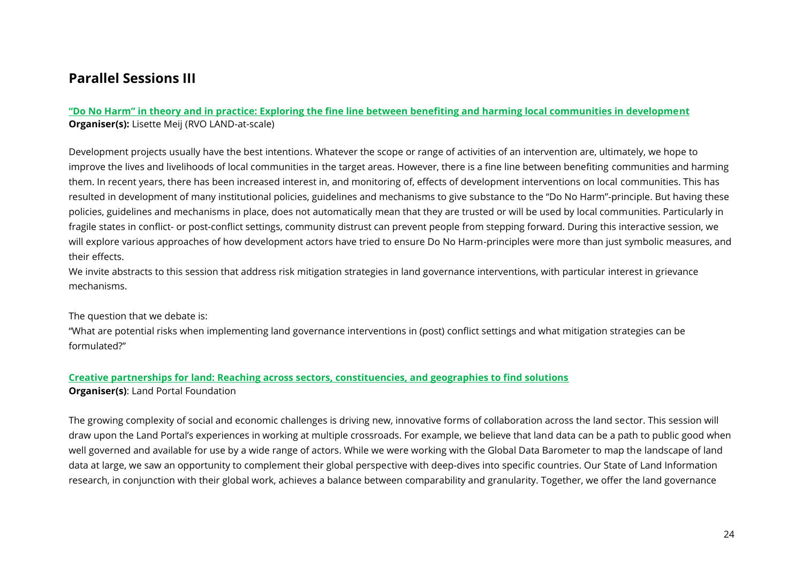### <span id="page-23-0"></span>**Parallel Sessions III**

#### **"Do No Harm" in theory and in practice: Exploring the fine line between benefiting and harming local communities in development Organiser(s):** Lisette Meij (RVO LAND-at-scale)

Development projects usually have the best intentions. Whatever the scope or range of activities of an intervention are, ultimately, we hope to improve the lives and livelihoods of local communities in the target areas. However, there is a fine line between benefiting communities and harming them. In recent years, there has been increased interest in, and monitoring of, effects of development interventions on local communities. This has resulted in development of many institutional policies, guidelines and mechanisms to give substance to the "Do No Harm"-principle. But having these policies, guidelines and mechanisms in place, does not automatically mean that they are trusted or will be used by local communities. Particularly in fragile states in conflict- or post-conflict settings, community distrust can prevent people from stepping forward. During this interactive session, we will explore various approaches of how development actors have tried to ensure Do No Harm-principles were more than just symbolic measures, and their effects.

We invite abstracts to this session that address risk mitigation strategies in land governance interventions, with particular interest in grievance mechanisms.

The question that we debate is:

"What are potential risks when implementing land governance interventions in (post) conflict settings and what mitigation strategies can be formulated?"

#### <span id="page-23-1"></span>**Creative partnerships for land: Reaching across sectors, constituencies, and geographies to find solutions Organiser(s)**: Land Portal Foundation

The growing complexity of social and economic challenges is driving new, innovative forms of collaboration across the land sector. This session will draw upon the Land Portal's experiences in working at multiple crossroads. For example, we believe that land data can be a path to public good when well governed and available for use by a wide range of actors. While we were working with the Global Data Barometer to map the landscape of land data at large, we saw an opportunity to complement their global perspective with deep-dives into specific countries. Our State of Land Information research, in conjunction with their global work, achieves a balance between comparability and granularity. Together, we offer the land governance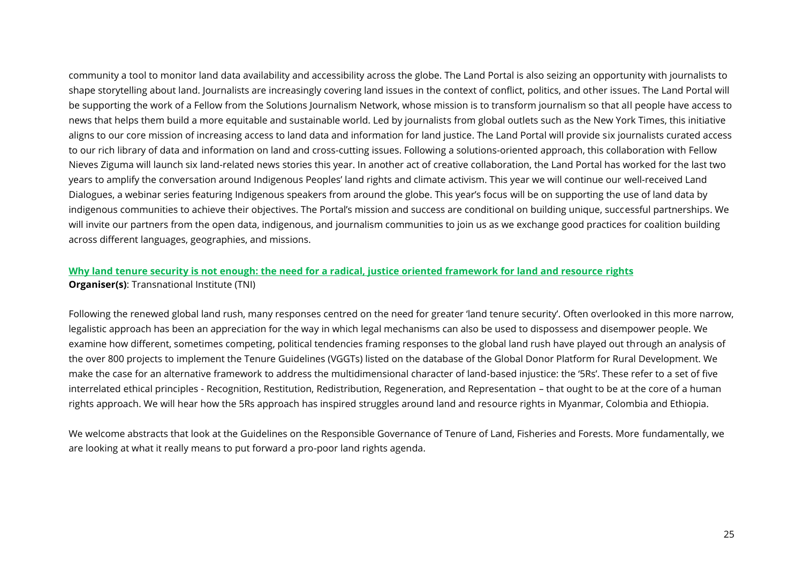community a tool to monitor land data availability and accessibility across the globe. The Land Portal is also seizing an opportunity with journalists to shape storytelling about land. Journalists are increasingly covering land issues in the context of conflict, politics, and other issues. The Land Portal will be supporting the work of a Fellow from the Solutions Journalism Network, whose mission is to transform journalism so that all people have access to news that helps them build a more equitable and sustainable world. Led by journalists from global outlets such as the New York Times, this initiative aligns to our core mission of increasing access to land data and information for land justice. The Land Portal will provide six journalists curated access to our rich library of data and information on land and cross-cutting issues. Following a solutions-oriented approach, this collaboration with Fellow Nieves Ziguma will launch six land-related news stories this year. In another act of creative collaboration, the Land Portal has worked for the last two years to amplify the conversation around Indigenous Peoples' land rights and climate activism. This year we will continue our well-received Land Dialogues, a webinar series featuring Indigenous speakers from around the globe. This year's focus will be on supporting the use of land data by indigenous communities to achieve their objectives. The Portal's mission and success are conditional on building unique, successful partnerships. We will invite our partners from the open data, indigenous, and journalism communities to join us as we exchange good practices for coalition building across different languages, geographies, and missions.

#### <span id="page-24-0"></span>**Why land tenure security is not enough: the need for a radical, justice oriented framework for land and resource rights Organiser(s)**: Transnational Institute (TNI)

Following the renewed global land rush, many responses centred on the need for greater 'land tenure security'. Often overlooked in this more narrow, legalistic approach has been an appreciation for the way in which legal mechanisms can also be used to dispossess and disempower people. We examine how different, sometimes competing, political tendencies framing responses to the global land rush have played out through an analysis of the over 800 projects to implement the Tenure Guidelines (VGGTs) listed on the database of the Global Donor Platform for Rural Development. We make the case for an alternative framework to address the multidimensional character of land-based injustice: the '5Rs'. These refer to a set of five interrelated ethical principles - Recognition, Restitution, Redistribution, Regeneration, and Representation – that ought to be at the core of a human rights approach. We will hear how the 5Rs approach has inspired struggles around land and resource rights in Myanmar, Colombia and Ethiopia.

We welcome abstracts that look at the Guidelines on the Responsible Governance of Tenure of Land, Fisheries and Forests. More fundamentally, we are looking at what it really means to put forward a pro-poor land rights agenda.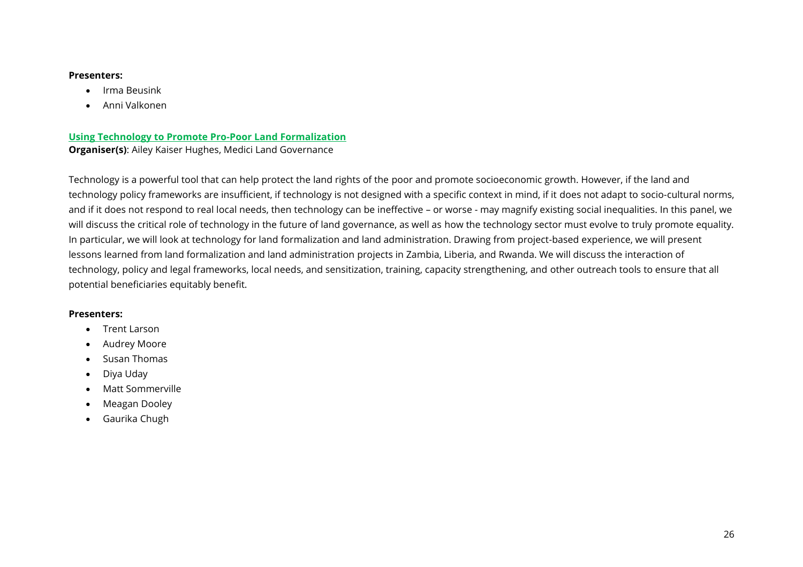#### **Presenters:**

- Irma Beusink
- Anni Valkonen

#### <span id="page-25-0"></span>**Using Technology to Promote Pro-Poor Land Formalization Organiser(s)**: Ailey Kaiser Hughes, Medici Land Governance

Technology is a powerful tool that can help protect the land rights of the poor and promote socioeconomic growth. However, if the land and technology policy frameworks are insufficient, if technology is not designed with a specific context in mind, if it does not adapt to socio-cultural norms, and if it does not respond to real local needs, then technology can be ineffective – or worse - may magnify existing social inequalities. In this panel, we will discuss the critical role of technology in the future of land governance, as well as how the technology sector must evolve to truly promote equality. In particular, we will look at technology for land formalization and land administration. Drawing from project-based experience, we will present lessons learned from land formalization and land administration projects in Zambia, Liberia, and Rwanda. We will discuss the interaction of technology, policy and legal frameworks, local needs, and sensitization, training, capacity strengthening, and other outreach tools to ensure that all potential beneficiaries equitably benefit.

#### **Presenters:**

- Trent Larson
- Audrey Moore
- Susan Thomas
- Diya Uday
- Matt Sommerville
- Meagan Dooley
- Gaurika Chugh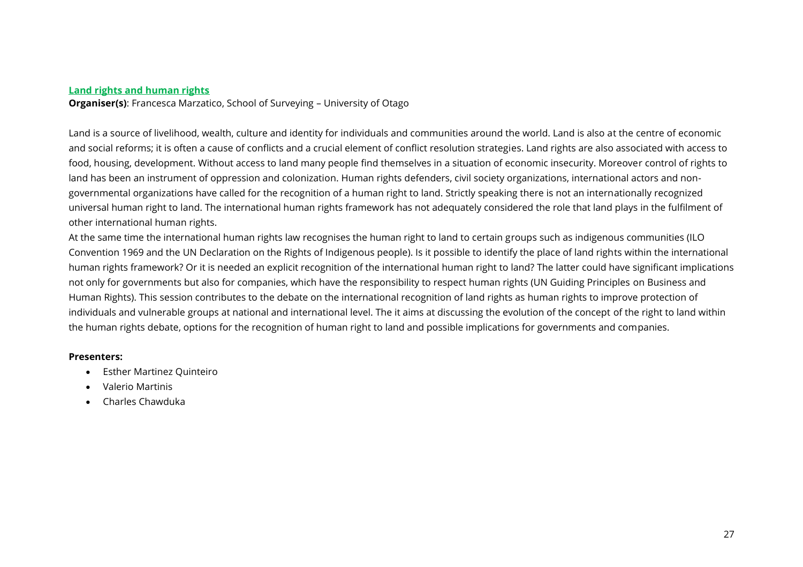#### <span id="page-26-0"></span>**Land rights and human rights**

**Organiser(s)**: Francesca Marzatico, School of Surveying – University of Otago

Land is a source of livelihood, wealth, culture and identity for individuals and communities around the world. Land is also at the centre of economic and social reforms; it is often a cause of conflicts and a crucial element of conflict resolution strategies. Land rights are also associated with access to food, housing, development. Without access to land many people find themselves in a situation of economic insecurity. Moreover control of rights to land has been an instrument of oppression and colonization. Human rights defenders, civil society organizations, international actors and nongovernmental organizations have called for the recognition of a human right to land. Strictly speaking there is not an internationally recognized universal human right to land. The international human rights framework has not adequately considered the role that land plays in the fulfilment of other international human rights.

At the same time the international human rights law recognises the human right to land to certain groups such as indigenous communities (ILO Convention 1969 and the UN Declaration on the Rights of Indigenous people). Is it possible to identify the place of land rights within the international human rights framework? Or it is needed an explicit recognition of the international human right to land? The latter could have significant implications not only for governments but also for companies, which have the responsibility to respect human rights (UN Guiding Principles on Business and Human Rights). This session contributes to the debate on the international recognition of land rights as human rights to improve protection of individuals and vulnerable groups at national and international level. The it aims at discussing the evolution of the concept of the right to land within the human rights debate, options for the recognition of human right to land and possible implications for governments and companies.

#### **Presenters:**

- Esther Martinez Quinteiro
- Valerio Martinis
- Charles Chawduka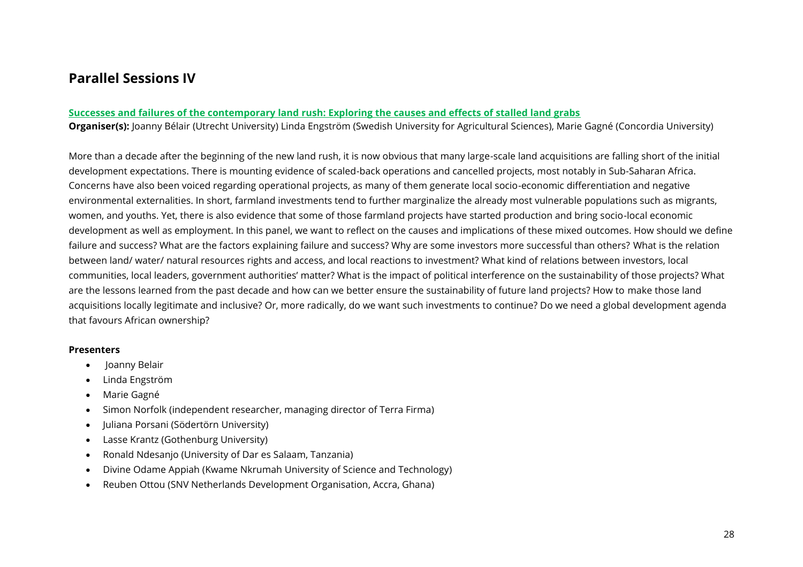### <span id="page-27-0"></span>**Parallel Sessions IV**

#### <span id="page-27-1"></span>**Successes and failures of the contemporary land rush: Exploring the causes and effects of stalled land grabs**

**Organiser(s):** Joanny Bélair (Utrecht University) Linda Engström (Swedish University for Agricultural Sciences), Marie Gagné (Concordia University)

More than a decade after the beginning of the new land rush, it is now obvious that many large-scale land acquisitions are falling short of the initial development expectations. There is mounting evidence of scaled-back operations and cancelled projects, most notably in Sub-Saharan Africa. Concerns have also been voiced regarding operational projects, as many of them generate local socio-economic differentiation and negative environmental externalities. In short, farmland investments tend to further marginalize the already most vulnerable populations such as migrants, women, and youths. Yet, there is also evidence that some of those farmland projects have started production and bring socio-local economic development as well as employment. In this panel, we want to reflect on the causes and implications of these mixed outcomes. How should we define failure and success? What are the factors explaining failure and success? Why are some investors more successful than others? What is the relation between land/ water/ natural resources rights and access, and local reactions to investment? What kind of relations between investors, local communities, local leaders, government authorities' matter? What is the impact of political interference on the sustainability of those projects? What are the lessons learned from the past decade and how can we better ensure the sustainability of future land projects? How to make those land acquisitions locally legitimate and inclusive? Or, more radically, do we want such investments to continue? Do we need a global development agenda that favours African ownership?

#### **Presenters**

- Joanny Belair
- Linda Engström
- Marie Gagné
- Simon Norfolk (independent researcher, managing director of Terra Firma)
- Juliana Porsani (Södertörn University)
- Lasse Krantz (Gothenburg University)
- Ronald Ndesanjo (University of Dar es Salaam, Tanzania)
- Divine Odame Appiah (Kwame Nkrumah University of Science and Technology)
- Reuben Ottou (SNV Netherlands Development Organisation, Accra, Ghana)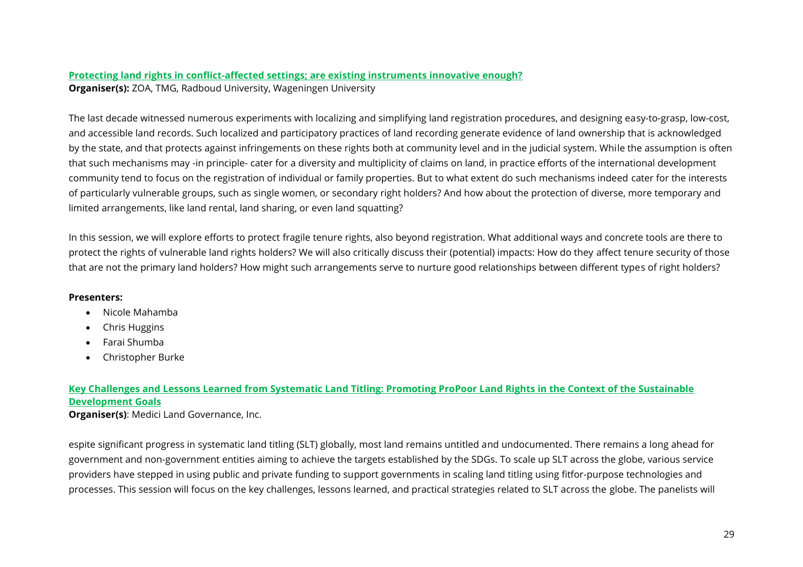#### <span id="page-28-0"></span>**Protecting land rights in conflict-affected settings; are existing instruments innovative enough? Organiser(s):** ZOA, TMG, Radboud University, Wageningen University

The last decade witnessed numerous experiments with localizing and simplifying land registration procedures, and designing easy-to-grasp, low-cost, and accessible land records. Such localized and participatory practices of land recording generate evidence of land ownership that is acknowledged by the state, and that protects against infringements on these rights both at community level and in the judicial system. While the assumption is often that such mechanisms may -in principle- cater for a diversity and multiplicity of claims on land, in practice efforts of the international development community tend to focus on the registration of individual or family properties. But to what extent do such mechanisms indeed cater for the interests of particularly vulnerable groups, such as single women, or secondary right holders? And how about the protection of diverse, more temporary and limited arrangements, like land rental, land sharing, or even land squatting?

In this session, we will explore efforts to protect fragile tenure rights, also beyond registration. What additional ways and concrete tools are there to protect the rights of vulnerable land rights holders? We will also critically discuss their (potential) impacts: How do they affect tenure security of those that are not the primary land holders? How might such arrangements serve to nurture good relationships between different types of right holders?

#### **Presenters:**

- Nicole Mahamba
- Chris Huggins
- Farai Shumba
- Christopher Burke

### <span id="page-28-1"></span>**Key Challenges and Lessons Learned from Systematic Land Titling: Promoting ProPoor Land Rights in the Context of the Sustainable Development Goals**

**Organiser(s)**: Medici Land Governance, Inc.

espite significant progress in systematic land titling (SLT) globally, most land remains untitled and undocumented. There remains a long ahead for government and non-government entities aiming to achieve the targets established by the SDGs. To scale up SLT across the globe, various service providers have stepped in using public and private funding to support governments in scaling land titling using fitfor-purpose technologies and processes. This session will focus on the key challenges, lessons learned, and practical strategies related to SLT across the globe. The panelists will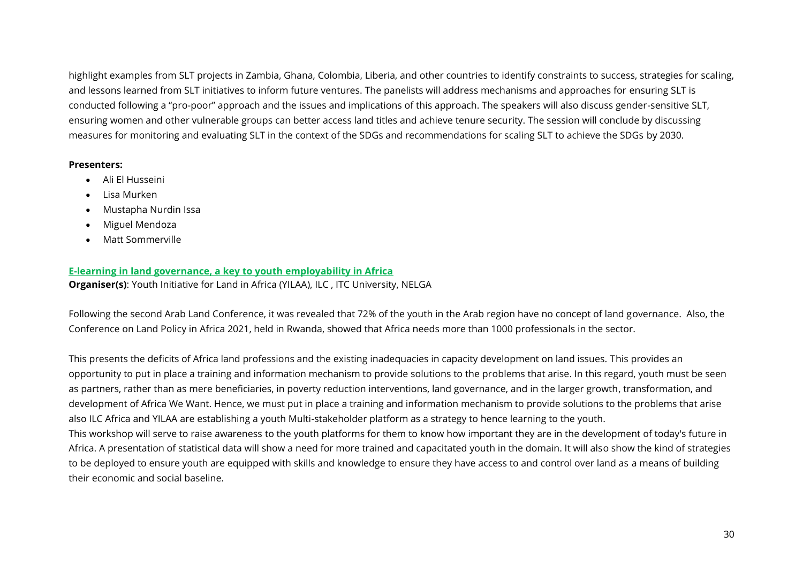highlight examples from SLT projects in Zambia, Ghana, Colombia, Liberia, and other countries to identify constraints to success, strategies for scaling, and lessons learned from SLT initiatives to inform future ventures. The panelists will address mechanisms and approaches for ensuring SLT is conducted following a "pro-poor" approach and the issues and implications of this approach. The speakers will also discuss gender-sensitive SLT, ensuring women and other vulnerable groups can better access land titles and achieve tenure security. The session will conclude by discussing measures for monitoring and evaluating SLT in the context of the SDGs and recommendations for scaling SLT to achieve the SDGs by 2030.

#### **Presenters:**

- Ali El Husseini
- Lisa Murken
- Mustapha Nurdin Issa
- Miguel Mendoza
- Matt Sommerville

#### <span id="page-29-0"></span>**E-learning in land governance, a key to youth employability in Africa**

**Organiser(s)**: Youth Initiative for Land in Africa (YILAA), ILC , ITC University, NELGA

Following the second Arab Land Conference, it was revealed that 72% of the youth in the Arab region have no concept of land governance. Also, the Conference on Land Policy in Africa 2021, held in Rwanda, showed that Africa needs more than 1000 professionals in the sector.

This presents the deficits of Africa land professions and the existing inadequacies in capacity development on land issues. This provides an opportunity to put in place a training and information mechanism to provide solutions to the problems that arise. In this regard, youth must be seen as partners, rather than as mere beneficiaries, in poverty reduction interventions, land governance, and in the larger growth, transformation, and development of Africa We Want. Hence, we must put in place a training and information mechanism to provide solutions to the problems that arise also ILC Africa and YILAA are establishing a youth Multi-stakeholder platform as a strategy to hence learning to the youth.

This workshop will serve to raise awareness to the youth platforms for them to know how important they are in the development of today's future in Africa. A presentation of statistical data will show a need for more trained and capacitated youth in the domain. It will also show the kind of strategies to be deployed to ensure youth are equipped with skills and knowledge to ensure they have access to and control over land as a means of building their economic and social baseline.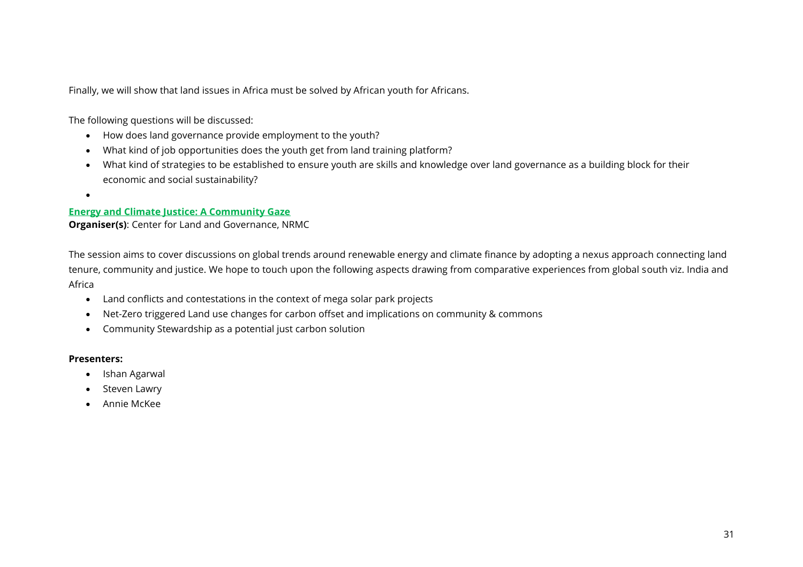Finally, we will show that land issues in Africa must be solved by African youth for Africans.

The following questions will be discussed:

- How does land governance provide employment to the youth?
- What kind of job opportunities does the youth get from land training platform?
- What kind of strategies to be established to ensure youth are skills and knowledge over land governance as a building block for their economic and social sustainability?
- •

#### <span id="page-30-0"></span>**Energy and Climate Justice: A Community Gaze**

**Organiser(s)**: Center for Land and Governance, NRMC

The session aims to cover discussions on global trends around renewable energy and climate finance by adopting a nexus approach connecting land tenure, community and justice. We hope to touch upon the following aspects drawing from comparative experiences from global south viz. India and Africa

- Land conflicts and contestations in the context of mega solar park projects
- Net-Zero triggered Land use changes for carbon offset and implications on community & commons
- Community Stewardship as a potential just carbon solution

#### **Presenters:**

- Ishan Agarwal
- Steven Lawry
- Annie McKee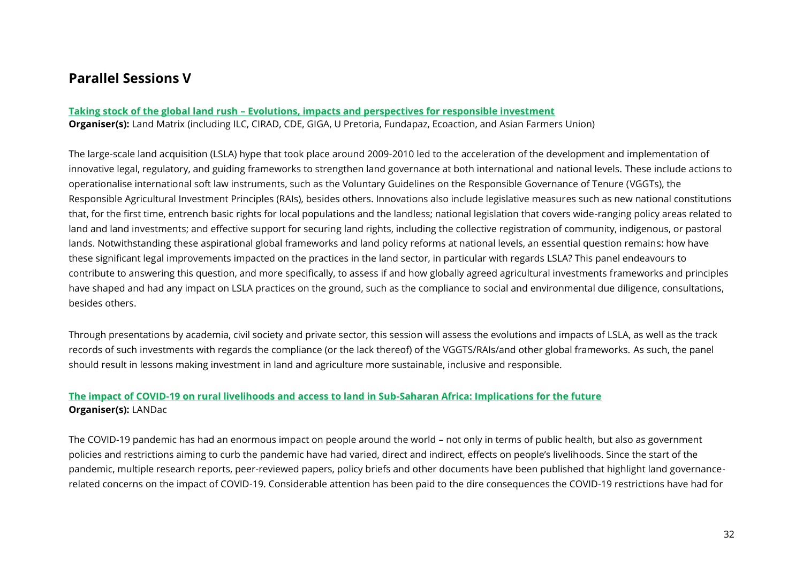### <span id="page-31-0"></span>**Parallel Sessions V**

#### <span id="page-31-1"></span>**Taking stock of the global land rush – Evolutions, impacts and perspectives for responsible investment**

**Organiser(s):** Land Matrix (including ILC, CIRAD, CDE, GIGA, U Pretoria, Fundapaz, Ecoaction, and Asian Farmers Union)

The large-scale land acquisition (LSLA) hype that took place around 2009-2010 led to the acceleration of the development and implementation of innovative legal, regulatory, and guiding frameworks to strengthen land governance at both international and national levels. These include actions to operationalise international soft law instruments, such as the Voluntary Guidelines on the Responsible Governance of Tenure (VGGTs), the Responsible Agricultural Investment Principles (RAIs), besides others. Innovations also include legislative measures such as new national constitutions that, for the first time, entrench basic rights for local populations and the landless; national legislation that covers wide-ranging policy areas related to land and land investments; and effective support for securing land rights, including the collective registration of community, indigenous, or pastoral lands. Notwithstanding these aspirational global frameworks and land policy reforms at national levels, an essential question remains: how have these significant legal improvements impacted on the practices in the land sector, in particular with regards LSLA? This panel endeavours to contribute to answering this question, and more specifically, to assess if and how globally agreed agricultural investments frameworks and principles have shaped and had any impact on LSLA practices on the ground, such as the compliance to social and environmental due diligence, consultations, besides others.

Through presentations by academia, civil society and private sector, this session will assess the evolutions and impacts of LSLA, as well as the track records of such investments with regards the compliance (or the lack thereof) of the VGGTS/RAIs/and other global frameworks. As such, the panel should result in lessons making investment in land and agriculture more sustainable, inclusive and responsible.

#### <span id="page-31-2"></span>**The impact of COVID-19 on rural livelihoods and access to land in Sub-Saharan Africa: Implications for the future Organiser(s):** LANDac

The COVID-19 pandemic has had an enormous impact on people around the world – not only in terms of public health, but also as government policies and restrictions aiming to curb the pandemic have had varied, direct and indirect, effects on people's livelihoods. Since the start of the pandemic, multiple research reports, peer-reviewed papers, policy briefs and other documents have been published that highlight land governancerelated concerns on the impact of COVID-19. Considerable attention has been paid to the dire consequences the COVID-19 restrictions have had for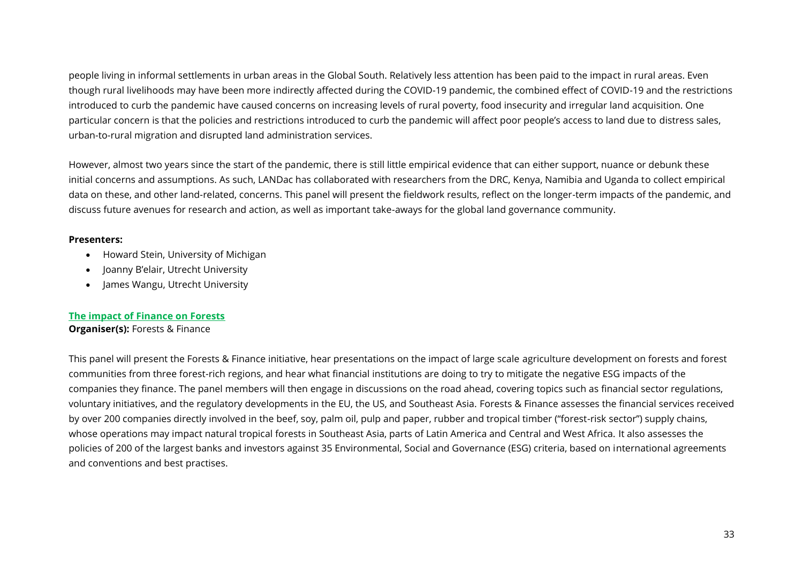people living in informal settlements in urban areas in the Global South. Relatively less attention has been paid to the impact in rural areas. Even though rural livelihoods may have been more indirectly affected during the COVID-19 pandemic, the combined effect of COVID-19 and the restrictions introduced to curb the pandemic have caused concerns on increasing levels of rural poverty, food insecurity and irregular land acquisition. One particular concern is that the policies and restrictions introduced to curb the pandemic will affect poor people's access to land due to distress sales, urban-to-rural migration and disrupted land administration services.

However, almost two years since the start of the pandemic, there is still little empirical evidence that can either support, nuance or debunk these initial concerns and assumptions. As such, LANDac has collaborated with researchers from the DRC, Kenya, Namibia and Uganda to collect empirical data on these, and other land-related, concerns. This panel will present the fieldwork results, reflect on the longer-term impacts of the pandemic, and discuss future avenues for research and action, as well as important take-aways for the global land governance community.

#### **Presenters:**

- Howard Stein, University of Michigan
- Joanny B'elair, Utrecht University
- James Wangu, Utrecht University

#### <span id="page-32-0"></span>**The impact of Finance on Forests**

#### **Organiser(s):** Forests & Finance

This panel will present the Forests & Finance initiative, hear presentations on the impact of large scale agriculture development on forests and forest communities from three forest-rich regions, and hear what financial institutions are doing to try to mitigate the negative ESG impacts of the companies they finance. The panel members will then engage in discussions on the road ahead, covering topics such as financial sector regulations, voluntary initiatives, and the regulatory developments in the EU, the US, and Southeast Asia. Forests & Finance assesses the financial services received by over 200 companies directly involved in the beef, soy, palm oil, pulp and paper, rubber and tropical timber ("forest-risk sector") supply chains, whose operations may impact natural tropical forests in Southeast Asia, parts of Latin America and Central and West Africa. It also assesses the policies of 200 of the largest banks and investors against 35 Environmental, Social and Governance (ESG) criteria, based on international agreements and conventions and best practises.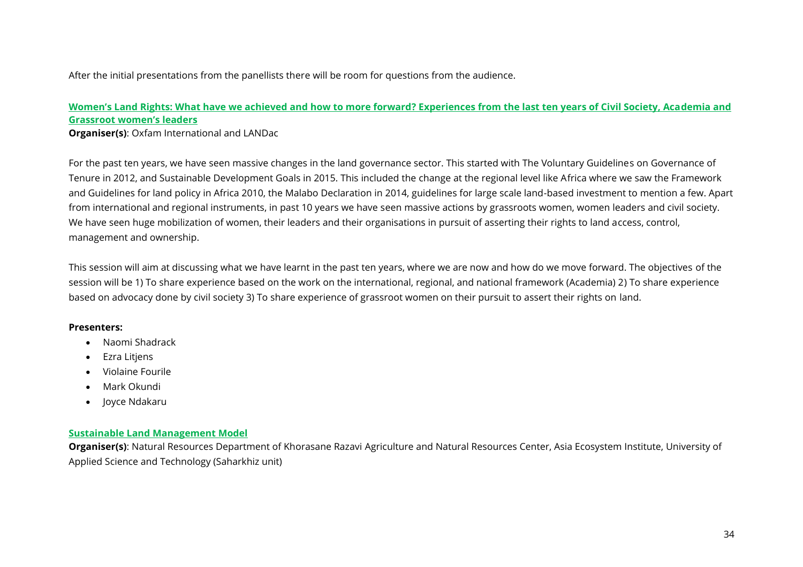After the initial presentations from the panellists there will be room for questions from the audience.

#### <span id="page-33-1"></span>**Women's Land Rights: What have we achieved and how to more forward? Experiences from the last ten years of Civil Society, Academia and Grassroot women's leaders**

**Organiser(s)**: Oxfam International and LANDac

For the past ten years, we have seen massive changes in the land governance sector. This started with The Voluntary Guidelines on Governance of Tenure in 2012, and Sustainable Development Goals in 2015. This included the change at the regional level like Africa where we saw the Framework and Guidelines for land policy in Africa 2010, the Malabo Declaration in 2014, guidelines for large scale land-based investment to mention a few. Apart from international and regional instruments, in past 10 years we have seen massive actions by grassroots women, women leaders and civil society. We have seen huge mobilization of women, their leaders and their organisations in pursuit of asserting their rights to land access, control, management and ownership.

This session will aim at discussing what we have learnt in the past ten years, where we are now and how do we move forward. The objectives of the session will be 1) To share experience based on the work on the international, regional, and national framework (Academia) 2) To share experience based on advocacy done by civil society 3) To share experience of grassroot women on their pursuit to assert their rights on land.

#### **Presenters:**

- Naomi Shadrack
- Ezra Litjens
- Violaine Fourile
- Mark Okundi
- Joyce Ndakaru

#### <span id="page-33-0"></span>**Sustainable Land Management Model**

**Organiser(s)**: Natural Resources Department of Khorasane Razavi Agriculture and Natural Resources Center, Asia Ecosystem Institute, University of Applied Science and Technology (Saharkhiz unit)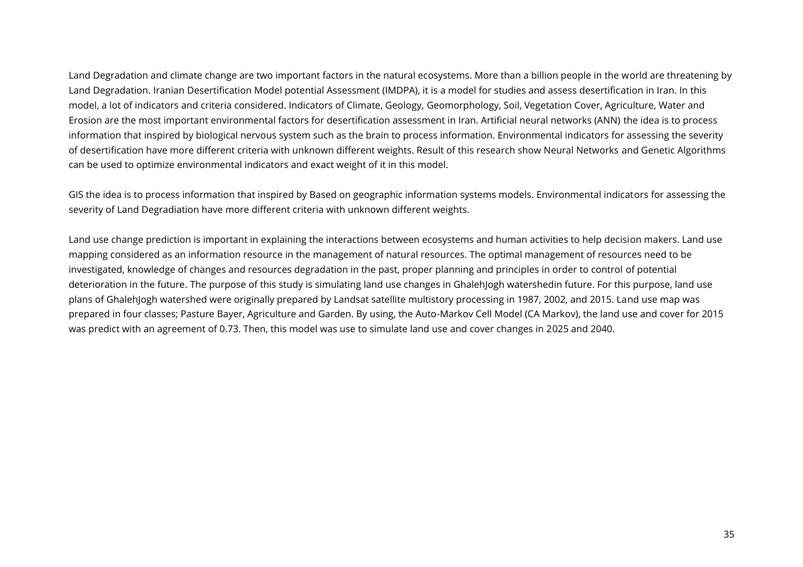Land Degradation and climate change are two important factors in the natural ecosystems. More than a billion people in the world are threatening by Land Degradation. Iranian Desertification Model potential Assessment (IMDPA), it is a model for studies and assess desertification in Iran. In this model, a lot of indicators and criteria considered. Indicators of Climate, Geology, Geomorphology, Soil, Vegetation Cover, Agriculture, Water and Erosion are the most important environmental factors for desertification assessment in Iran. Artificial neural networks (ANN) the idea is to process information that inspired by biological nervous system such as the brain to process information. Environmental indicators for assessing the severity of desertification have more different criteria with unknown different weights. Result of this research show Neural Networks and Genetic Algorithms can be used to optimize environmental indicators and exact weight of it in this model.

GIS the idea is to process information that inspired by Based on geographic information systems models. Environmental indicators for assessing the severity of Land Degradiation have more different criteria with unknown different weights.

Land use change prediction is important in explaining the interactions between ecosystems and human activities to help decision makers. Land use mapping considered as an information resource in the management of natural resources. The optimal management of resources need to be investigated, knowledge of changes and resources degradation in the past, proper planning and principles in order to control of potential deterioration in the future. The purpose of this study is simulating land use changes in GhalehJogh watershedin future. For this purpose, land use plans of GhalehJogh watershed were originally prepared by Landsat satellite multistory processing in 1987, 2002, and 2015. Land use map was prepared in four classes; Pasture Bayer, Agriculture and Garden. By using, the Auto-Markov Cell Model (CA Markov), the land use and cover for 2015 was predict with an agreement of 0.73. Then, this model was use to simulate land use and cover changes in 2025 and 2040.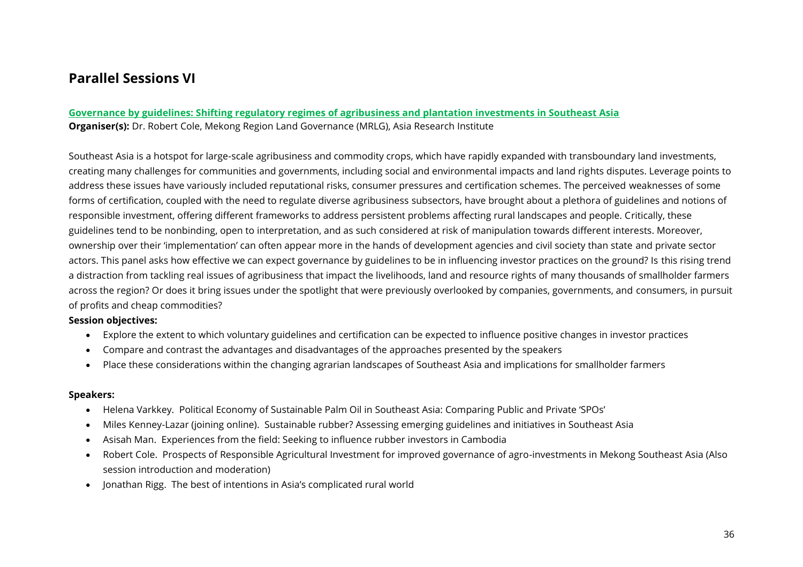### <span id="page-35-0"></span>**Parallel Sessions VI**

#### <span id="page-35-1"></span>**Governance by guidelines: Shifting regulatory regimes of agribusiness and plantation investments in Southeast Asia Organiser(s):** Dr. Robert Cole, Mekong Region Land Governance (MRLG), Asia Research Institute

Southeast Asia is a hotspot for large-scale agribusiness and commodity crops, which have rapidly expanded with transboundary land investments, creating many challenges for communities and governments, including social and environmental impacts and land rights disputes. Leverage points to address these issues have variously included reputational risks, consumer pressures and certification schemes. The perceived weaknesses of some forms of certification, coupled with the need to regulate diverse agribusiness subsectors, have brought about a plethora of guidelines and notions of responsible investment, offering different frameworks to address persistent problems affecting rural landscapes and people. Critically, these guidelines tend to be nonbinding, open to interpretation, and as such considered at risk of manipulation towards different interests. Moreover, ownership over their 'implementation' can often appear more in the hands of development agencies and civil society than state and private sector actors. This panel asks how effective we can expect governance by guidelines to be in influencing investor practices on the ground? Is this rising trend a distraction from tackling real issues of agribusiness that impact the livelihoods, land and resource rights of many thousands of smallholder farmers across the region? Or does it bring issues under the spotlight that were previously overlooked by companies, governments, and consumers, in pursuit of profits and cheap commodities?

#### **Session objectives:**

- Explore the extent to which voluntary guidelines and certification can be expected to influence positive changes in investor practices
- Compare and contrast the advantages and disadvantages of the approaches presented by the speakers
- Place these considerations within the changing agrarian landscapes of Southeast Asia and implications for smallholder farmers

#### **Speakers:**

- Helena Varkkey. Political Economy of Sustainable Palm Oil in Southeast Asia: Comparing Public and Private 'SPOs'
- Miles Kenney-Lazar (joining online). Sustainable rubber? Assessing emerging guidelines and initiatives in Southeast Asia
- Asisah Man. Experiences from the field: Seeking to influence rubber investors in Cambodia
- Robert Cole. Prospects of Responsible Agricultural Investment for improved governance of agro-investments in Mekong Southeast Asia (Also session introduction and moderation)
- Jonathan Rigg. The best of intentions in Asia's complicated rural world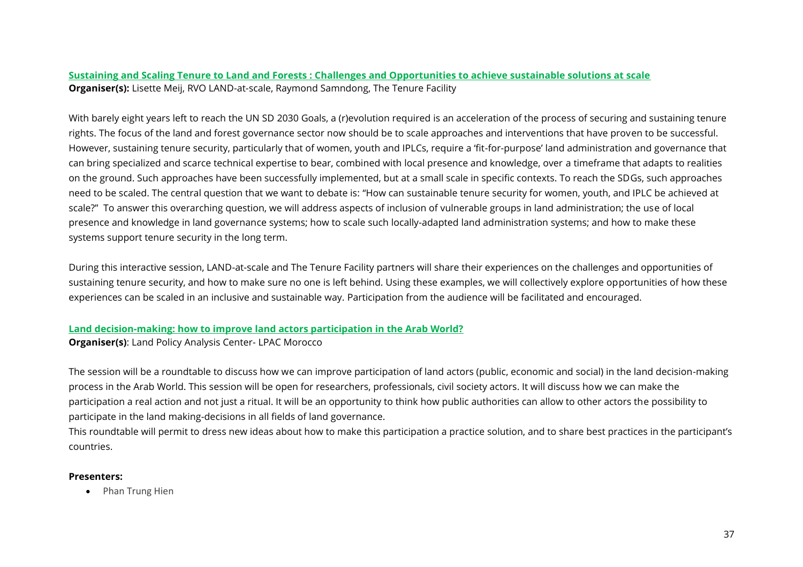#### <span id="page-36-0"></span>**Sustaining and Scaling Tenure to Land and Forests : Challenges and Opportunities to achieve sustainable solutions at scale Organiser(s):** Lisette Meij, RVO LAND-at-scale, Raymond Samndong, The Tenure Facility

With barely eight years left to reach the UN SD 2030 Goals, a (r)evolution required is an acceleration of the process of securing and sustaining tenure rights. The focus of the land and forest governance sector now should be to scale approaches and interventions that have proven to be successful. However, sustaining tenure security, particularly that of women, youth and IPLCs, require a 'fit-for-purpose' land administration and governance that can bring specialized and scarce technical expertise to bear, combined with local presence and knowledge, over a timeframe that adapts to realities on the ground. Such approaches have been successfully implemented, but at a small scale in specific contexts. To reach the SDGs, such approaches need to be scaled. The central question that we want to debate is: "How can sustainable tenure security for women, youth, and IPLC be achieved at scale?" To answer this overarching question, we will address aspects of inclusion of vulnerable groups in land administration; the use of local presence and knowledge in land governance systems; how to scale such locally-adapted land administration systems; and how to make these systems support tenure security in the long term.

During this interactive session, LAND-at-scale and The Tenure Facility partners will share their experiences on the challenges and opportunities of sustaining tenure security, and how to make sure no one is left behind. Using these examples, we will collectively explore opportunities of how these experiences can be scaled in an inclusive and sustainable way. Participation from the audience will be facilitated and encouraged.

#### <span id="page-36-1"></span>**Land decision-making: how to improve land actors participation in the Arab World?**

**Organiser(s)**: Land Policy Analysis Center- LPAC Morocco

The session will be a roundtable to discuss how we can improve participation of land actors (public, economic and social) in the land decision-making process in the Arab World. This session will be open for researchers, professionals, civil society actors. It will discuss how we can make the participation a real action and not just a ritual. It will be an opportunity to think how public authorities can allow to other actors the possibility to participate in the land making-decisions in all fields of land governance.

This roundtable will permit to dress new ideas about how to make this participation a practice solution, and to share best practices in the participant's countries.

#### **Presenters:**

• Phan Trung Hien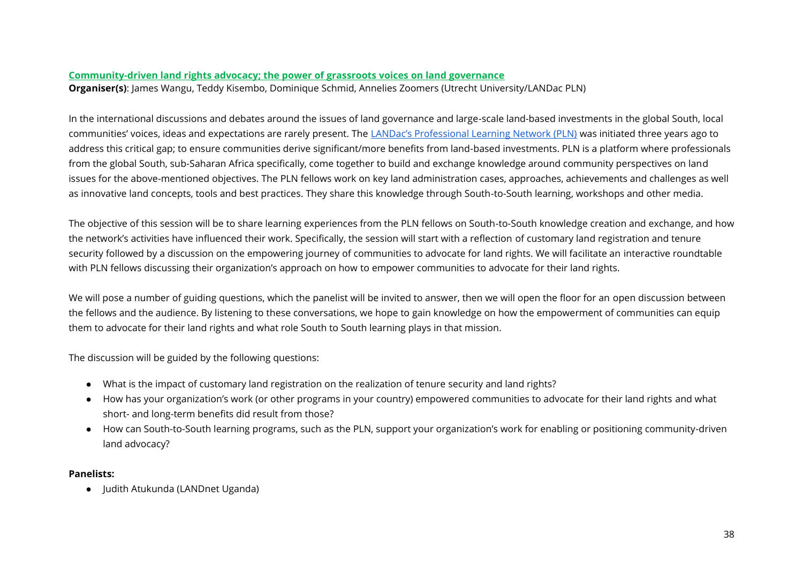#### <span id="page-37-0"></span>**Community-driven land rights advocacy; the power of grassroots voices on land governance**

**Organiser(s)**: James Wangu, Teddy Kisembo, Dominique Schmid, Annelies Zoomers (Utrecht University/LANDac PLN)

In the international discussions and debates around the issues of land governance and large-scale land-based investments in the global South, local communities' voices, ideas and expectations are rarely present. The [LANDac's Professional Learning Network \(PLN\)](https://www.landgovernance.org/professional-learning-network/) was initiated three years ago to address this critical gap; to ensure communities derive significant/more benefits from land-based investments. PLN is a platform where professionals from the global South, sub-Saharan Africa specifically, come together to build and exchange knowledge around community perspectives on land issues for the above-mentioned objectives. The PLN fellows work on key land administration cases, approaches, achievements and challenges as well as innovative land concepts, tools and best practices. They share this knowledge through South-to-South learning, workshops and other media.

The objective of this session will be to share learning experiences from the PLN fellows on South-to-South knowledge creation and exchange, and how the network's activities have influenced their work. Specifically, the session will start with a reflection of customary land registration and tenure security followed by a discussion on the empowering journey of communities to advocate for land rights. We will facilitate an interactive roundtable with PLN fellows discussing their organization's approach on how to empower communities to advocate for their land rights.

We will pose a number of guiding questions, which the panelist will be invited to answer, then we will open the floor for an open discussion between the fellows and the audience. By listening to these conversations, we hope to gain knowledge on how the empowerment of communities can equip them to advocate for their land rights and what role South to South learning plays in that mission.

The discussion will be guided by the following questions:

- What is the impact of customary land registration on the realization of tenure security and land rights?
- How has your organization's work (or other programs in your country) empowered communities to advocate for their land rights and what short- and long-term benefits did result from those?
- How can South-to-South learning programs, such as the PLN, support your organization's work for enabling or positioning community-driven land advocacy?

#### **Panelists:**

● Judith Atukunda (LANDnet Uganda)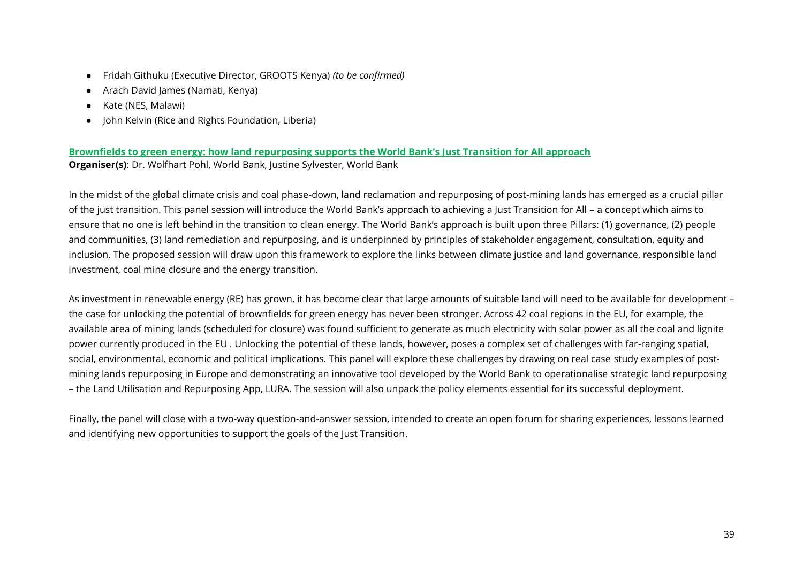- Fridah Githuku (Executive Director, GROOTS Kenya) *(to be confirmed)*
- Arach David James (Namati, Kenya)
- Kate (NES, Malawi)
- John Kelvin (Rice and Rights Foundation, Liberia)

#### <span id="page-38-0"></span>**Brownfields to green energy: how land repurposing supports the World Bank's Just Transition for All approach Organiser(s)**: Dr. Wolfhart Pohl, World Bank, Justine Sylvester, World Bank

In the midst of the global climate crisis and coal phase-down, land reclamation and repurposing of post-mining lands has emerged as a crucial pillar of the just transition. This panel session will introduce the World Bank's approach to achieving a Just Transition for All – a concept which aims to ensure that no one is left behind in the transition to clean energy. The World Bank's approach is built upon three Pillars: (1) governance, (2) people and communities, (3) land remediation and repurposing, and is underpinned by principles of stakeholder engagement, consultation, equity and inclusion. The proposed session will draw upon this framework to explore the links between climate justice and land governance, responsible land investment, coal mine closure and the energy transition.

As investment in renewable energy (RE) has grown, it has become clear that large amounts of suitable land will need to be available for development – the case for unlocking the potential of brownfields for green energy has never been stronger. Across 42 coal regions in the EU, for example, the available area of mining lands (scheduled for closure) was found sufficient to generate as much electricity with solar power as all the coal and lignite power currently produced in the EU . Unlocking the potential of these lands, however, poses a complex set of challenges with far-ranging spatial, social, environmental, economic and political implications. This panel will explore these challenges by drawing on real case study examples of postmining lands repurposing in Europe and demonstrating an innovative tool developed by the World Bank to operationalise strategic land repurposing – the Land Utilisation and Repurposing App, LURA. The session will also unpack the policy elements essential for its successful deployment.

Finally, the panel will close with a two-way question-and-answer session, intended to create an open forum for sharing experiences, lessons learned and identifying new opportunities to support the goals of the Just Transition.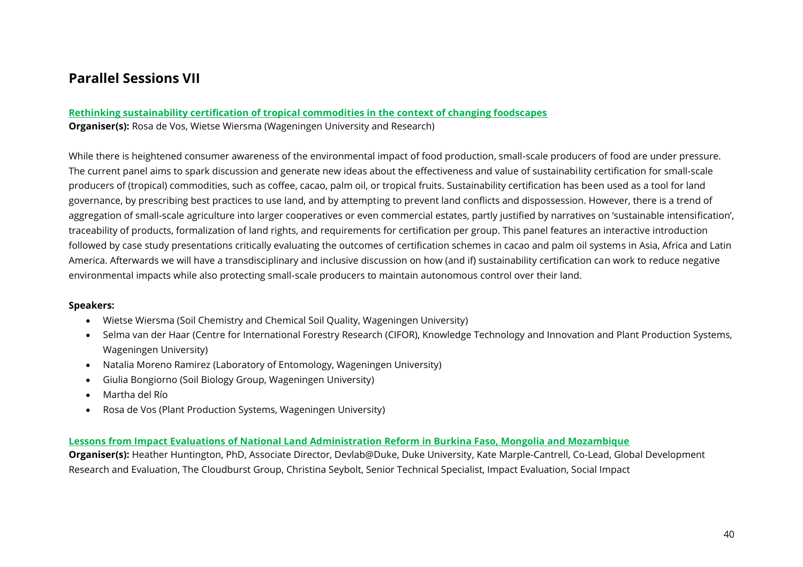## <span id="page-39-0"></span>**Parallel Sessions VII**

#### <span id="page-39-1"></span>**Rethinking sustainability certification of tropical commodities in the context of changing foodscapes Organiser(s):** Rosa de Vos, Wietse Wiersma (Wageningen University and Research)

While there is heightened consumer awareness of the environmental impact of food production, small-scale producers of food are under pressure. The current panel aims to spark discussion and generate new ideas about the effectiveness and value of sustainability certification for small-scale producers of (tropical) commodities, such as coffee, cacao, palm oil, or tropical fruits. Sustainability certification has been used as a tool for land governance, by prescribing best practices to use land, and by attempting to prevent land conflicts and dispossession. However, there is a trend of aggregation of small-scale agriculture into larger cooperatives or even commercial estates, partly justified by narratives on 'sustainable intensification', traceability of products, formalization of land rights, and requirements for certification per group. This panel features an interactive introduction followed by case study presentations critically evaluating the outcomes of certification schemes in cacao and palm oil systems in Asia, Africa and Latin America. Afterwards we will have a transdisciplinary and inclusive discussion on how (and if) sustainability certification can work to reduce negative environmental impacts while also protecting small-scale producers to maintain autonomous control over their land.

#### **Speakers:**

- Wietse Wiersma (Soil Chemistry and Chemical Soil Quality, Wageningen University)
- Selma van der Haar (Centre for International Forestry Research (CIFOR), Knowledge Technology and Innovation and Plant Production Systems, Wageningen University)
- Natalia Moreno Ramirez (Laboratory of Entomology, Wageningen University)
- Giulia Bongiorno (Soil Biology Group, Wageningen University)
- Martha del Río
- Rosa de Vos (Plant Production Systems, Wageningen University)

#### <span id="page-39-2"></span>**Lessons from Impact Evaluations of National Land Administration Reform in Burkina Faso, Mongolia and Mozambique**

**Organiser(s):** Heather Huntington, PhD, Associate Director, Devlab@Duke, Duke University, Kate Marple-Cantrell, Co-Lead, Global Development Research and Evaluation, The Cloudburst Group, Christina Seybolt, Senior Technical Specialist, Impact Evaluation, Social Impact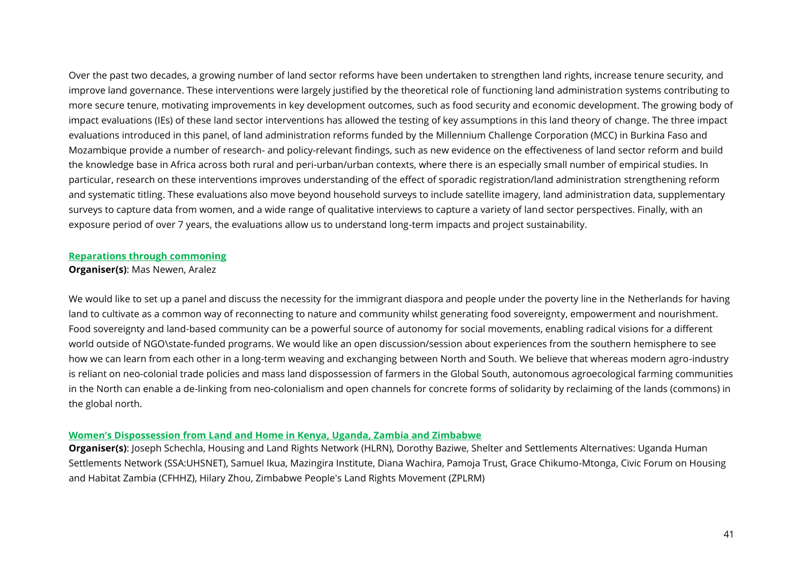Over the past two decades, a growing number of land sector reforms have been undertaken to strengthen land rights, increase tenure security, and improve land governance. These interventions were largely justified by the theoretical role of functioning land administration systems contributing to more secure tenure, motivating improvements in key development outcomes, such as food security and economic development. The growing body of impact evaluations (IEs) of these land sector interventions has allowed the testing of key assumptions in this land theory of change. The three impact evaluations introduced in this panel, of land administration reforms funded by the Millennium Challenge Corporation (MCC) in Burkina Faso and Mozambique provide a number of research- and policy-relevant findings, such as new evidence on the effectiveness of land sector reform and build the knowledge base in Africa across both rural and peri-urban/urban contexts, where there is an especially small number of empirical studies. In particular, research on these interventions improves understanding of the effect of sporadic registration/land administration strengthening reform and systematic titling. These evaluations also move beyond household surveys to include satellite imagery, land administration data, supplementary surveys to capture data from women, and a wide range of qualitative interviews to capture a variety of land sector perspectives. Finally, with an exposure period of over 7 years, the evaluations allow us to understand long-term impacts and project sustainability.

#### <span id="page-40-0"></span>**Reparations through commoning**

#### **Organiser(s)**: Mas Newen, Aralez

We would like to set up a panel and discuss the necessity for the immigrant diaspora and people under the poverty line in the Netherlands for having land to cultivate as a common way of reconnecting to nature and community whilst generating food sovereignty, empowerment and nourishment. Food sovereignty and land-based community can be a powerful source of autonomy for social movements, enabling radical visions for a different world outside of NGO\state-funded programs. We would like an open discussion/session about experiences from the southern hemisphere to see how we can learn from each other in a long-term weaving and exchanging between North and South. We believe that whereas modern agro-industry is reliant on neo-colonial trade policies and mass land dispossession of farmers in the Global South, autonomous agroecological farming communities in the North can enable a de-linking from neo-colonialism and open channels for concrete forms of solidarity by reclaiming of the lands (commons) in the global north.

#### <span id="page-40-1"></span>**Women's Dispossession from Land and Home in Kenya, Uganda, Zambia and Zimbabwe**

**Organiser(s)**: Joseph Schechla, Housing and Land Rights Network (HLRN), Dorothy Baziwe, Shelter and Settlements Alternatives: Uganda Human Settlements Network (SSA:UHSNET), Samuel Ikua, Mazingira Institute, Diana Wachira, Pamoja Trust, Grace Chikumo-Mtonga, Civic Forum on Housing and Habitat Zambia (CFHHZ), Hilary Zhou, Zimbabwe People's Land Rights Movement (ZPLRM)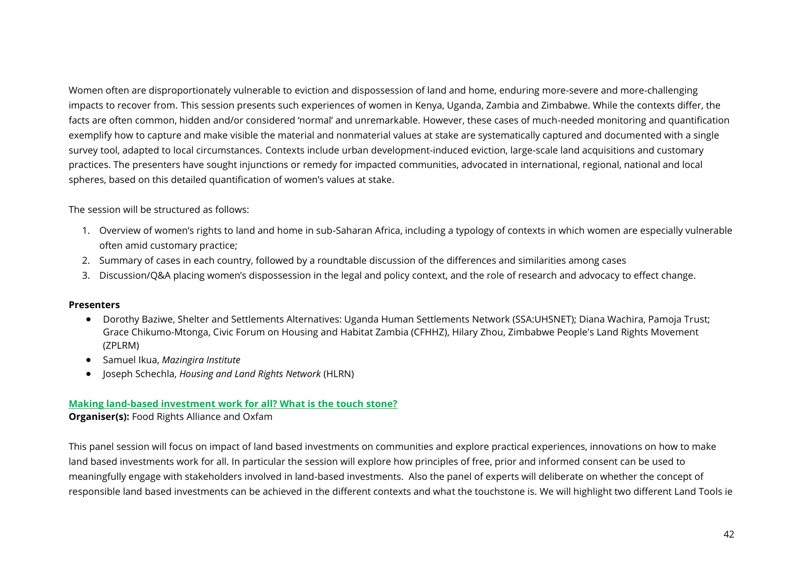Women often are disproportionately vulnerable to eviction and dispossession of land and home, enduring more-severe and more-challenging impacts to recover from. This session presents such experiences of women in Kenya, Uganda, Zambia and Zimbabwe. While the contexts differ, the facts are often common, hidden and/or considered 'normal' and unremarkable. However, these cases of much-needed monitoring and quantification exemplify how to capture and make visible the material and nonmaterial values at stake are systematically captured and documented with a single survey tool, adapted to local circumstances. Contexts include urban development-induced eviction, large-scale land acquisitions and customary practices. The presenters have sought injunctions or remedy for impacted communities, advocated in international, regional, national and local spheres, based on this detailed quantification of women's values at stake.

The session will be structured as follows:

- 1. Overview of women's rights to land and home in sub-Saharan Africa, including a typology of contexts in which women are especially vulnerable often amid customary practice;
- 2. Summary of cases in each country, followed by a roundtable discussion of the differences and similarities among cases
- 3. Discussion/Q&A placing women's dispossession in the legal and policy context, and the role of research and advocacy to effect change.

#### **Presenters**

- Dorothy Baziwe, Shelter and Settlements Alternatives: Uganda Human Settlements Network (SSA:UHSNET); Diana Wachira, Pamoja Trust; Grace Chikumo-Mtonga, Civic Forum on Housing and Habitat Zambia (CFHHZ), Hilary Zhou, Zimbabwe People's Land Rights Movement (ZPLRM)
- Samuel Ikua, *Mazingira Institute*
- Joseph Schechla, *Housing and Land Rights Network* (HLRN)

#### <span id="page-41-0"></span>**Making land-based investment work for all? What is the touch stone?**

#### **Organiser(s):** Food Rights Alliance and Oxfam

This panel session will focus on impact of land based investments on communities and explore practical experiences, innovations on how to make land based investments work for all. In particular the session will explore how principles of free, prior and informed consent can be used to meaningfully engage with stakeholders involved in land-based investments. Also the panel of experts will deliberate on whether the concept of responsible land based investments can be achieved in the different contexts and what the touchstone is. We will highlight two different Land Tools ie